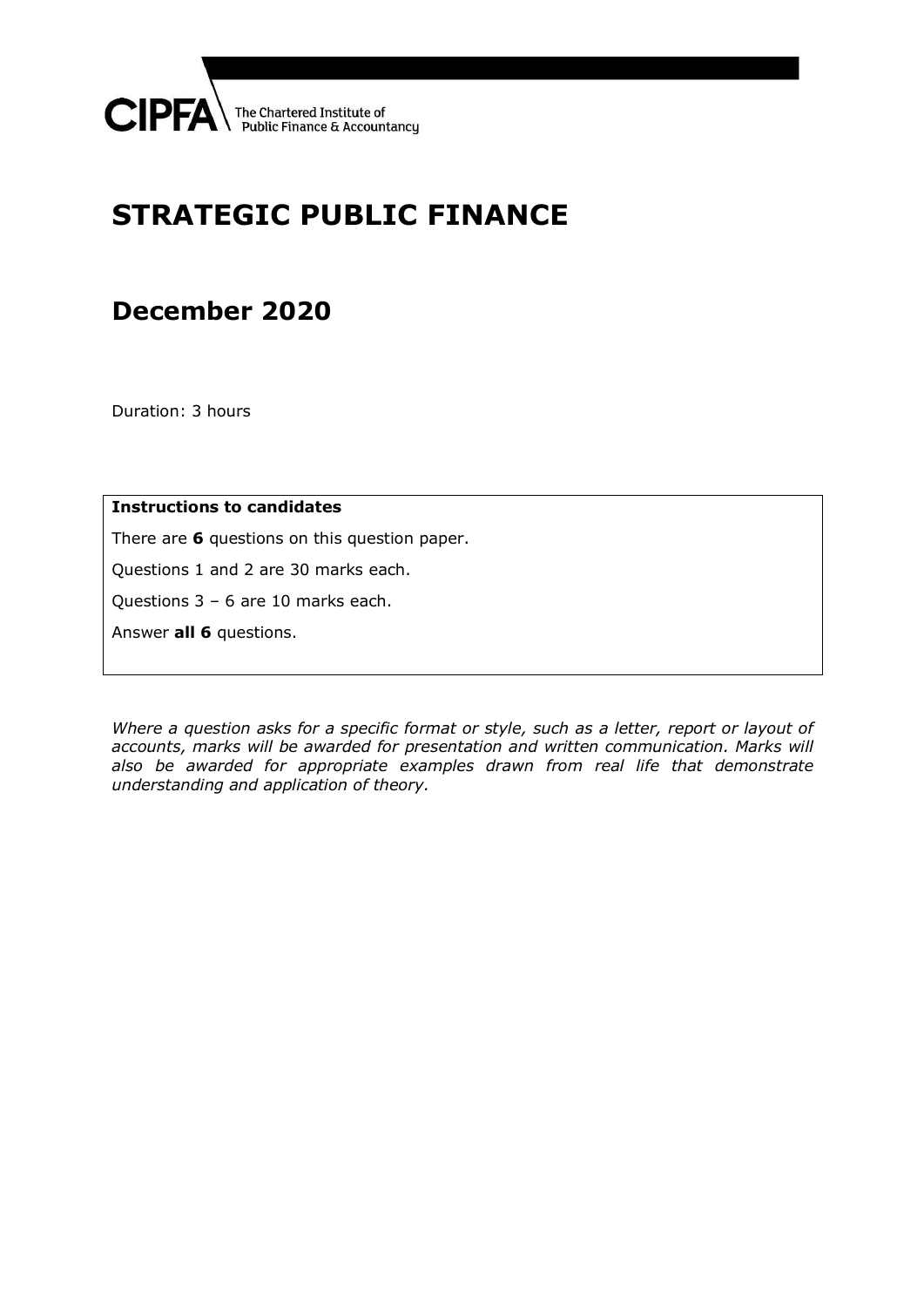

# **STRATEGIC PUBLIC FINANCE**

## **December 2020**

Duration: 3 hours

**Instructions to candidates**

There are **6** questions on this question paper.

Questions 1 and 2 are 30 marks each.

Questions 3 – 6 are 10 marks each.

Answer **all 6** questions.

*Where a question asks for a specific format or style, such as a letter, report or layout of accounts, marks will be awarded for presentation and written communication. Marks will also be awarded for appropriate examples drawn from real life that demonstrate understanding and application of theory.*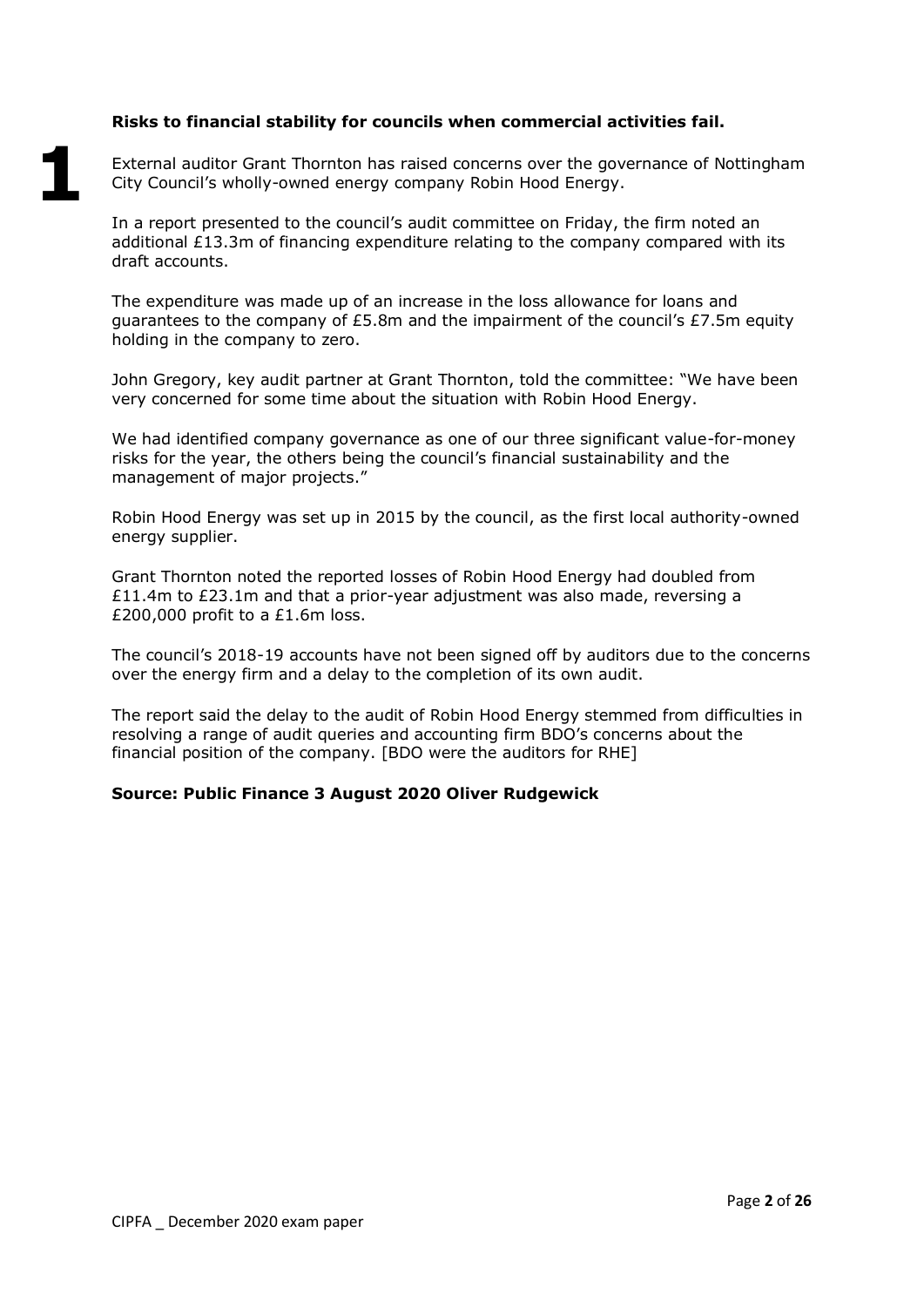## **Risks to financial stability for councils when commercial activities fail.**

**1**

External auditor Grant Thornton has raised concerns over the governance of Nottingham City Council's wholly-owned energy company Robin Hood Energy.

In a report presented to the council's audit committee on Friday, the firm noted an additional  $£13.3m$  of financing expenditure relating to the company compared with its draft accounts.

The expenditure was made up of an increase in the loss allowance for loans and quarantees to the company of £5.8m and the impairment of the council's £7.5m equity holding in the company to zero.

John Gregory, key audit partner at Grant Thornton, told the committee: "We have been very concerned for some time about the situation with Robin Hood Energy.

We had identified company governance as one of our three significant value-for-money risks for the year, the others being the council's financial sustainability and the management of major projects."

Robin Hood Energy was set up in 2015 by the council, as the first local authority-owned energy supplier.

Grant Thornton noted the reported losses of Robin Hood Energy had doubled from £11.4m to £23.1m and that a prior-year adjustment was also made, reversing a £200,000 profit to a £1.6m loss.

The council's 2018-19 accounts have not been signed off by auditors due to the concerns over the energy firm and a delay to the completion of its own audit.

The report said the delay to the audit of Robin Hood Energy stemmed from difficulties in resolving a range of audit queries and accounting firm BDO's concerns about the financial position of the company. [BDO were the auditors for RHE]

#### **Source: Public Finance 3 August 2020 Oliver Rudgewick**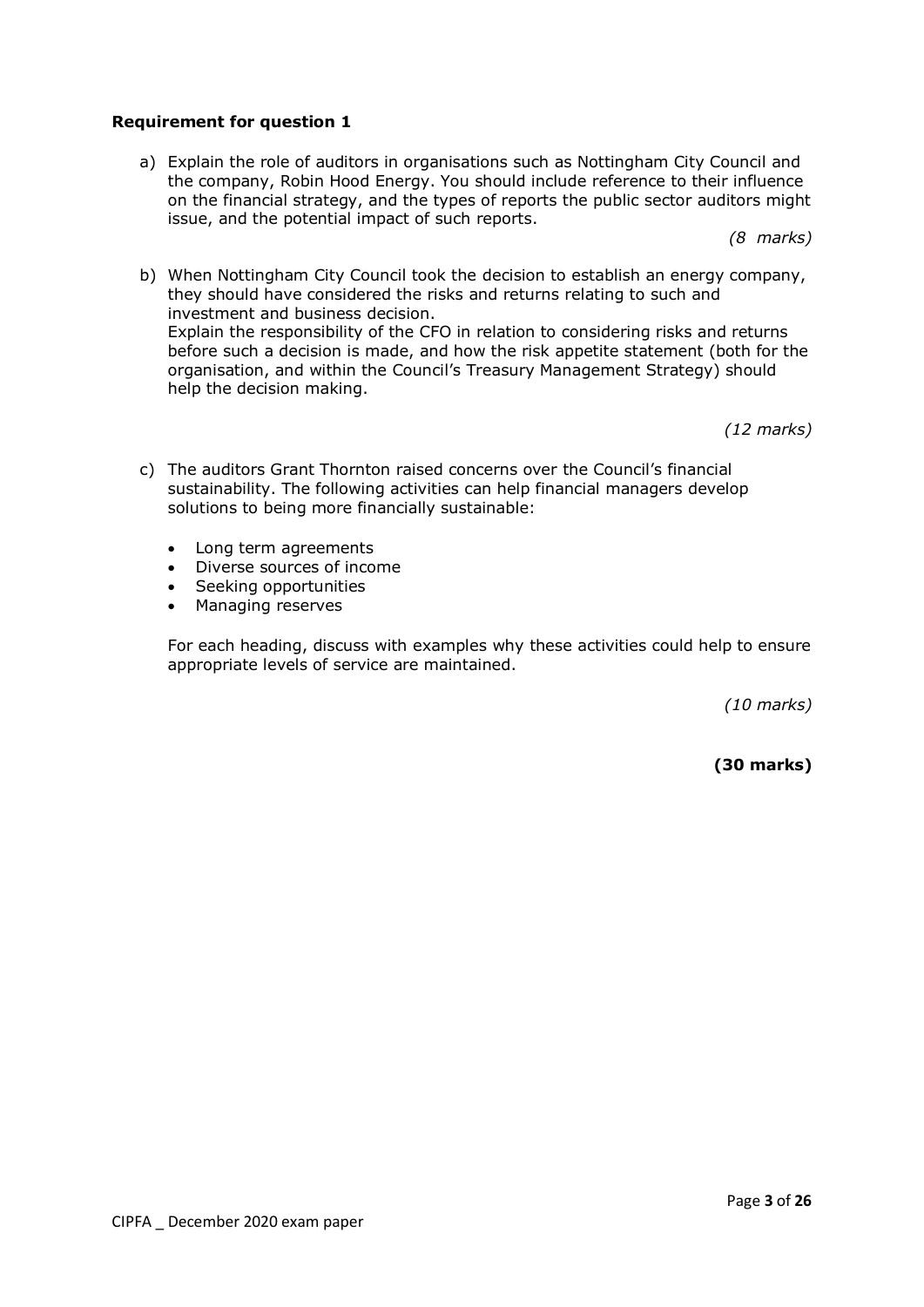## **Requirement for question 1**

a) Explain the role of auditors in organisations such as Nottingham City Council and the company, Robin Hood Energy. You should include reference to their influence on the financial strategy, and the types of reports the public sector auditors might issue, and the potential impact of such reports.

*(8 marks)*

b) When Nottingham City Council took the decision to establish an energy company, they should have considered the risks and returns relating to such and investment and business decision. Explain the responsibility of the CFO in relation to considering risks and returns before such a decision is made, and how the risk appetite statement (both for the organisation, and within the Council's Treasury Management Strategy) should help the decision making.

*(12 marks)*

- c) The auditors Grant Thornton raised concerns over the Council's financial sustainability. The following activities can help financial managers develop solutions to being more financially sustainable:
	- Long term agreements
	- Diverse sources of income
	- Seeking opportunities
	- Managing reserves

For each heading, discuss with examples why these activities could help to ensure appropriate levels of service are maintained.

*(10 marks)*

**(30 marks)**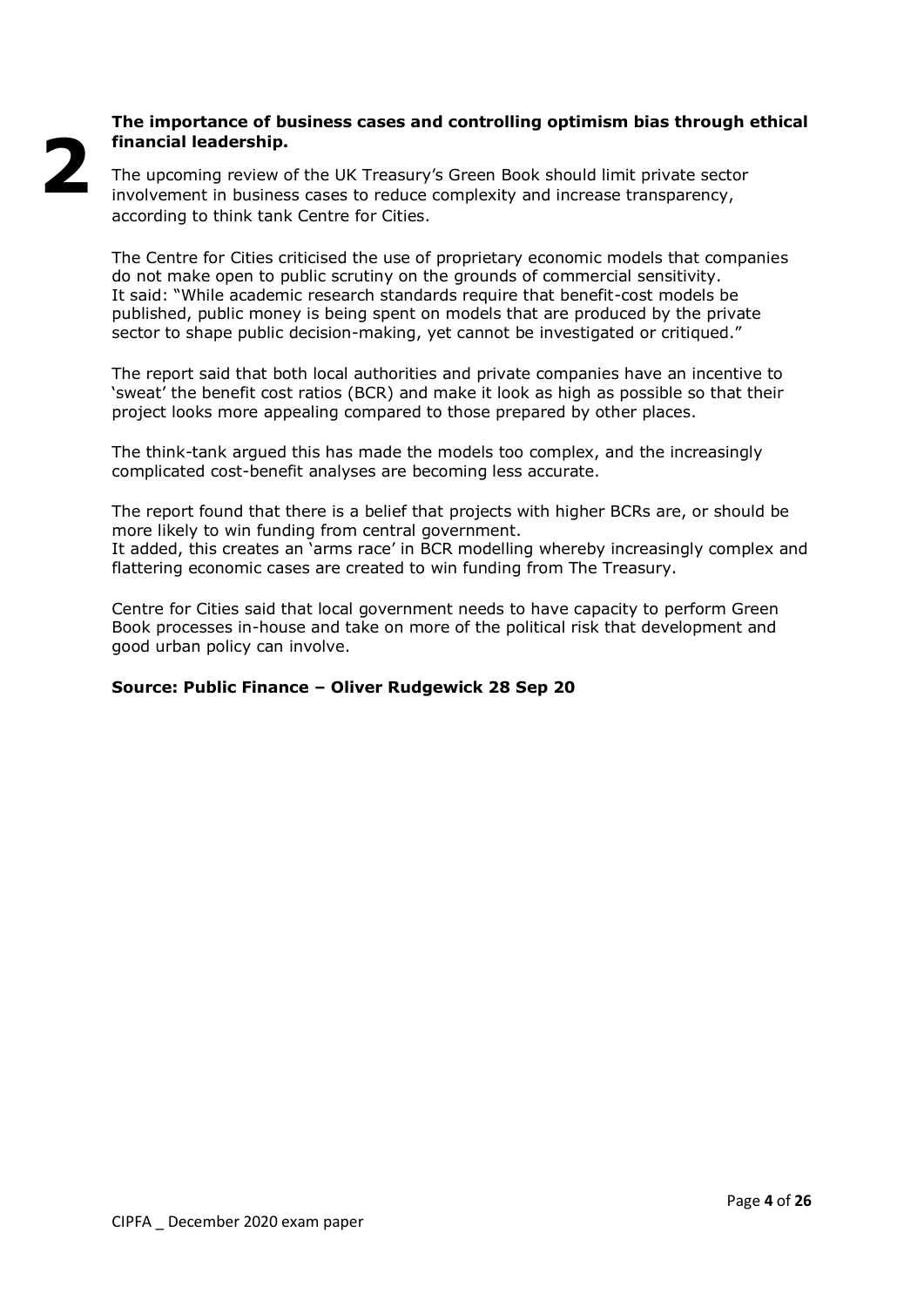## **The importance of business cases and controlling optimism bias through ethical financial leadership.**

The upcoming review of the UK Treasury's Green Book should limit private sector involvement in business cases to reduce complexity and increase transparency, according to think tank Centre for Cities.

The Centre for Cities criticised the use of proprietary economic models that companies do not make open to public scrutiny on the grounds of commercial sensitivity. It said: "While academic research standards require that benefit-cost models be published, public money is being spent on models that are produced by the private sector to shape public decision-making, yet cannot be investigated or critiqued."

The report said that both local authorities and private companies have an incentive to 'sweat' the benefit cost ratios (BCR) and make it look as high as possible so that their project looks more appealing compared to those prepared by other places.

The think-tank argued this has made the models too complex, and the increasingly complicated cost-benefit analyses are becoming less accurate.

The report found that there is a belief that projects with higher BCRs are, or should be more likely to win funding from central government. It added, this creates an 'arms race' in BCR modelling whereby increasingly complex and flattering economic cases are created to win funding from The Treasury.

Centre for Cities said that local government needs to have capacity to perform Green Book processes in-house and take on more of the political risk that development and good urban policy can involve.

## **Source: Public Finance – Oliver Rudgewick 28 Sep 20**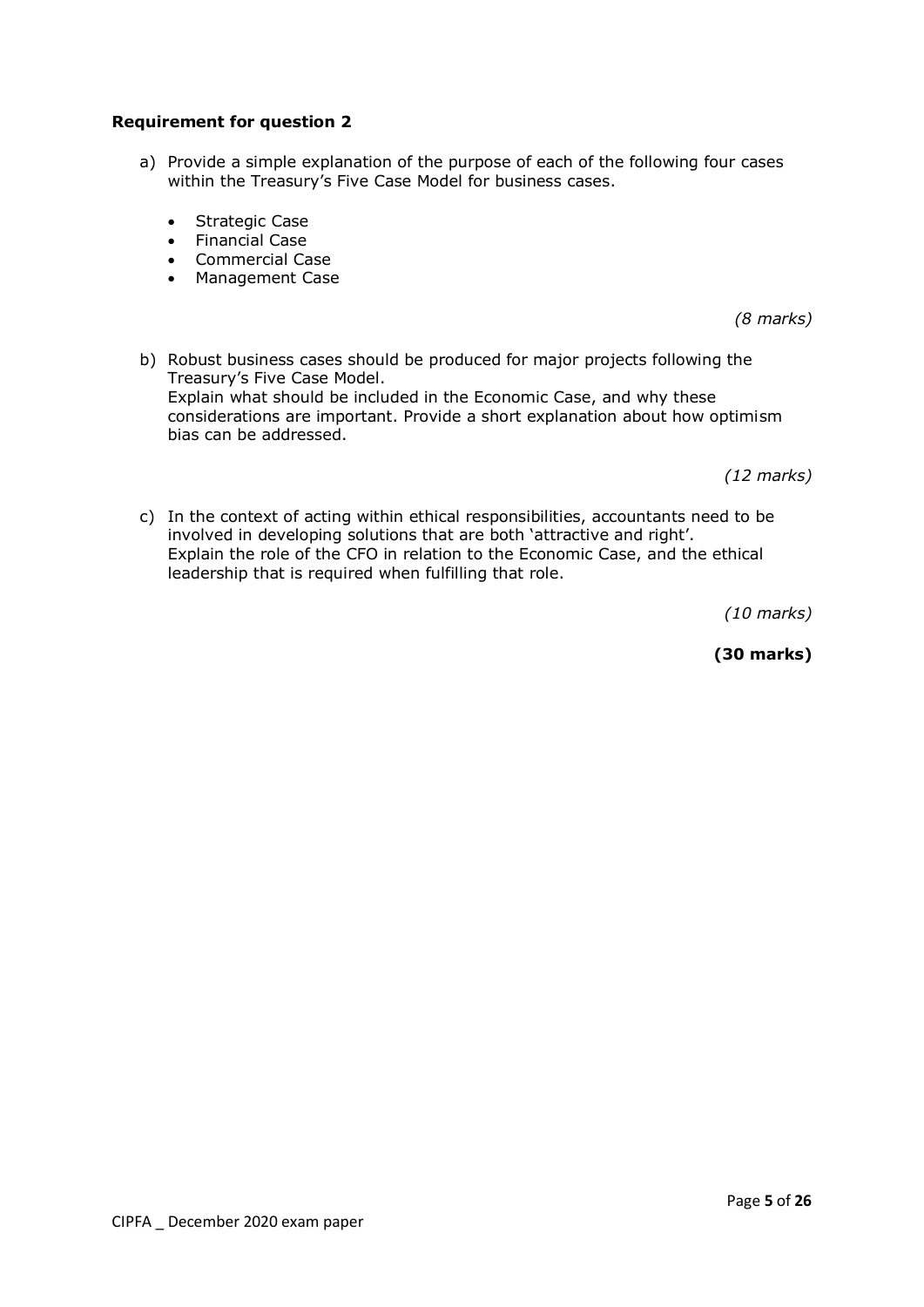## **Requirement for question 2**

- a) Provide a simple explanation of the purpose of each of the following four cases within the Treasury's Five Case Model for business cases.
	- Strategic Case
	- Financial Case
	- Commercial Case
	- Management Case

*(8 marks)*

b) Robust business cases should be produced for major projects following the Treasury's Five Case Model. Explain what should be included in the Economic Case, and why these considerations are important. Provide a short explanation about how optimism bias can be addressed.

*(12 marks)*

c) In the context of acting within ethical responsibilities, accountants need to be involved in developing solutions that are both 'attractive and right'. Explain the role of the CFO in relation to the Economic Case, and the ethical leadership that is required when fulfilling that role.

*(10 marks)*

**(30 marks)**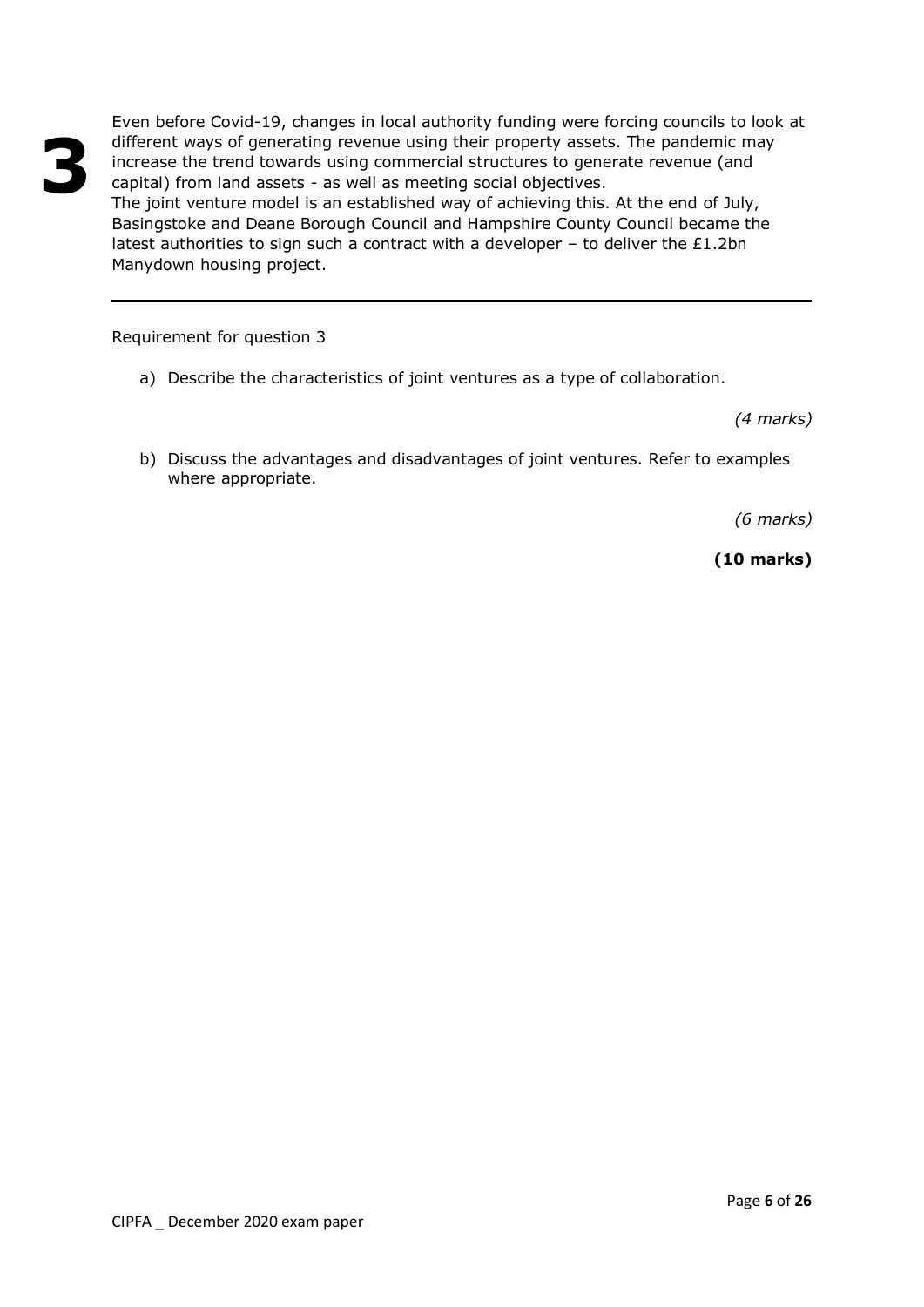Even before Covid-19, changes in local authority funding were forcing councils to look at different ways of generating revenue using their property assets. The pandemic may increase the trend towards using commercial structures to generate revenue (and capital) from land assets - as well as meeting social objectives.

The joint venture model is an established way of achieving this. At the end of July, Basingstoke and Deane Borough Council and Hampshire County Council became the latest authorities to sign such a contract with a developer  $-$  to deliver the £1.2bn Manydown housing project.

Requirement for question 3

a) Describe the characteristics of joint ventures as a type of collaboration.

*(4 marks)*

b) Discuss the advantages and disadvantages of joint ventures. Refer to examples where appropriate.

*(6 marks)*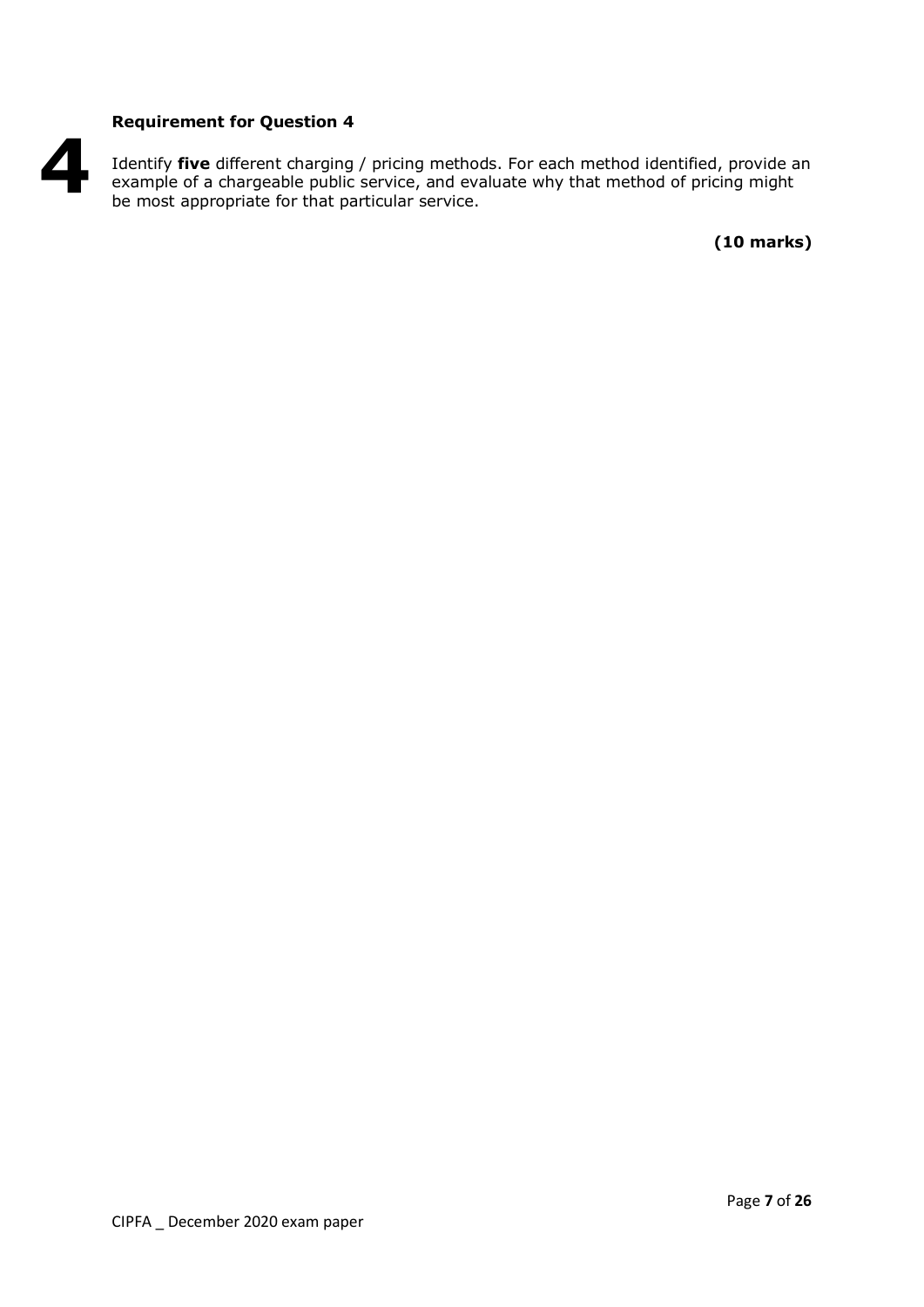## **Requirement for Question 4**

Identify **five** different charging / pricing methods. For each method identified, provide an example of a chargeable public service, and evaluate why that method of pricing might be most appropriate for that particular service. **4**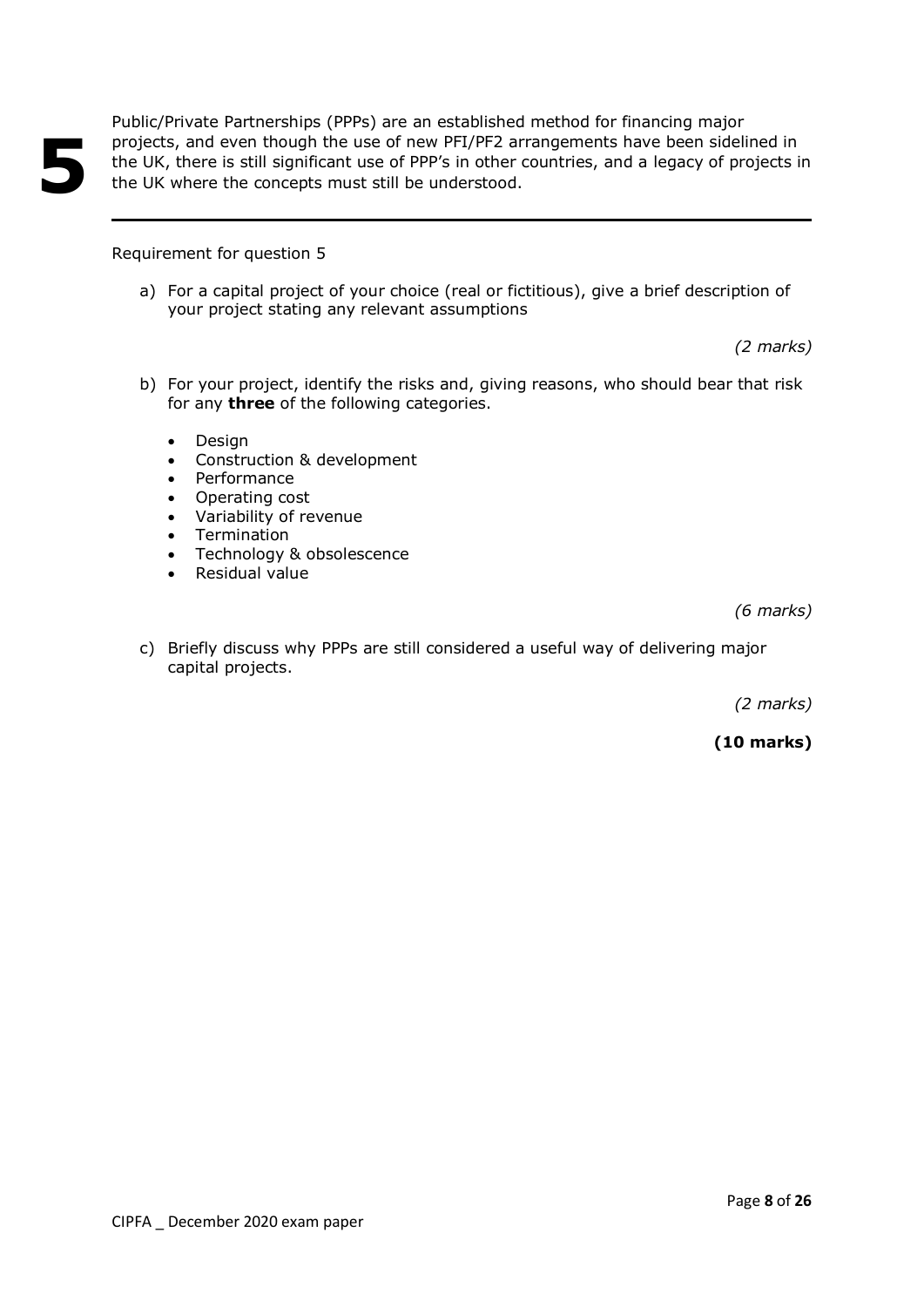Public/Private Partnerships (PPPs) are an established method for financing major projects, and even though the use of new PFI/PF2 arrangements have been sidelined in the UK, there is still significant use of PPP's in other countries, and a legacy of projects in the UK where the concepts must still be understood.

## Requirement for question 5

**5**

a) For a capital project of your choice (real or fictitious), give a brief description of your project stating any relevant assumptions

*(2 marks)*

- b) For your project, identify the risks and, giving reasons, who should bear that risk for any **three** of the following categories.
	- Design
	- Construction & development
	- Performance
	- Operating cost
	- Variability of revenue
	- Termination
	- Technology & obsolescence
	- Residual value

*(6 marks)*

c) Briefly discuss why PPPs are still considered a useful way of delivering major capital projects.

*(2 marks)*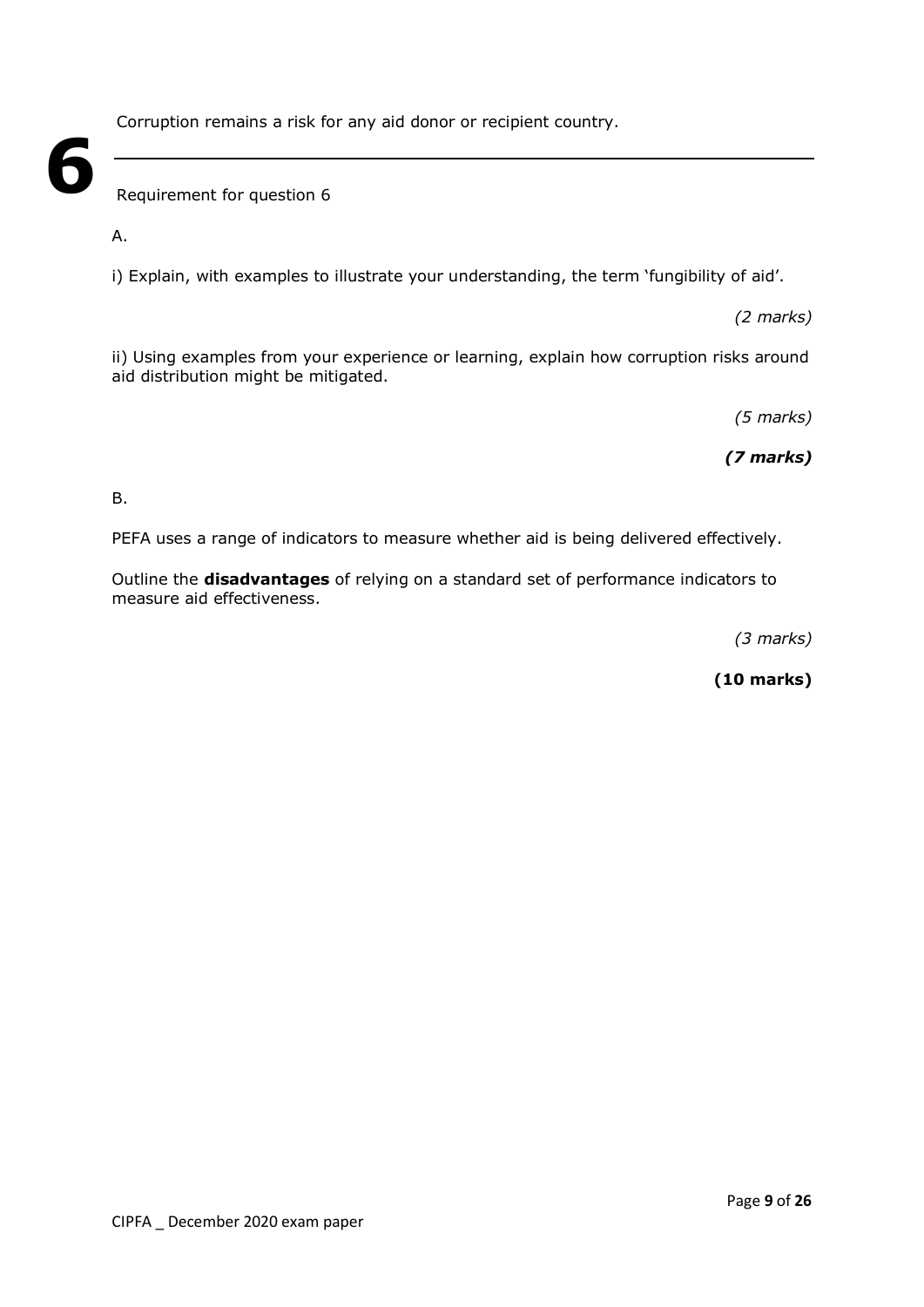Corruption remains a risk for any aid donor or recipient country.

Requirement for question 6

A.

**6**

i) Explain, with examples to illustrate your understanding, the term 'fungibility of aid'.

*(2 marks)*

ii) Using examples from your experience or learning, explain how corruption risks around aid distribution might be mitigated.

*(5 marks)*

*(7 marks)*

B.

PEFA uses a range of indicators to measure whether aid is being delivered effectively.

Outline the **disadvantages** of relying on a standard set of performance indicators to measure aid effectiveness.

*(3 marks)*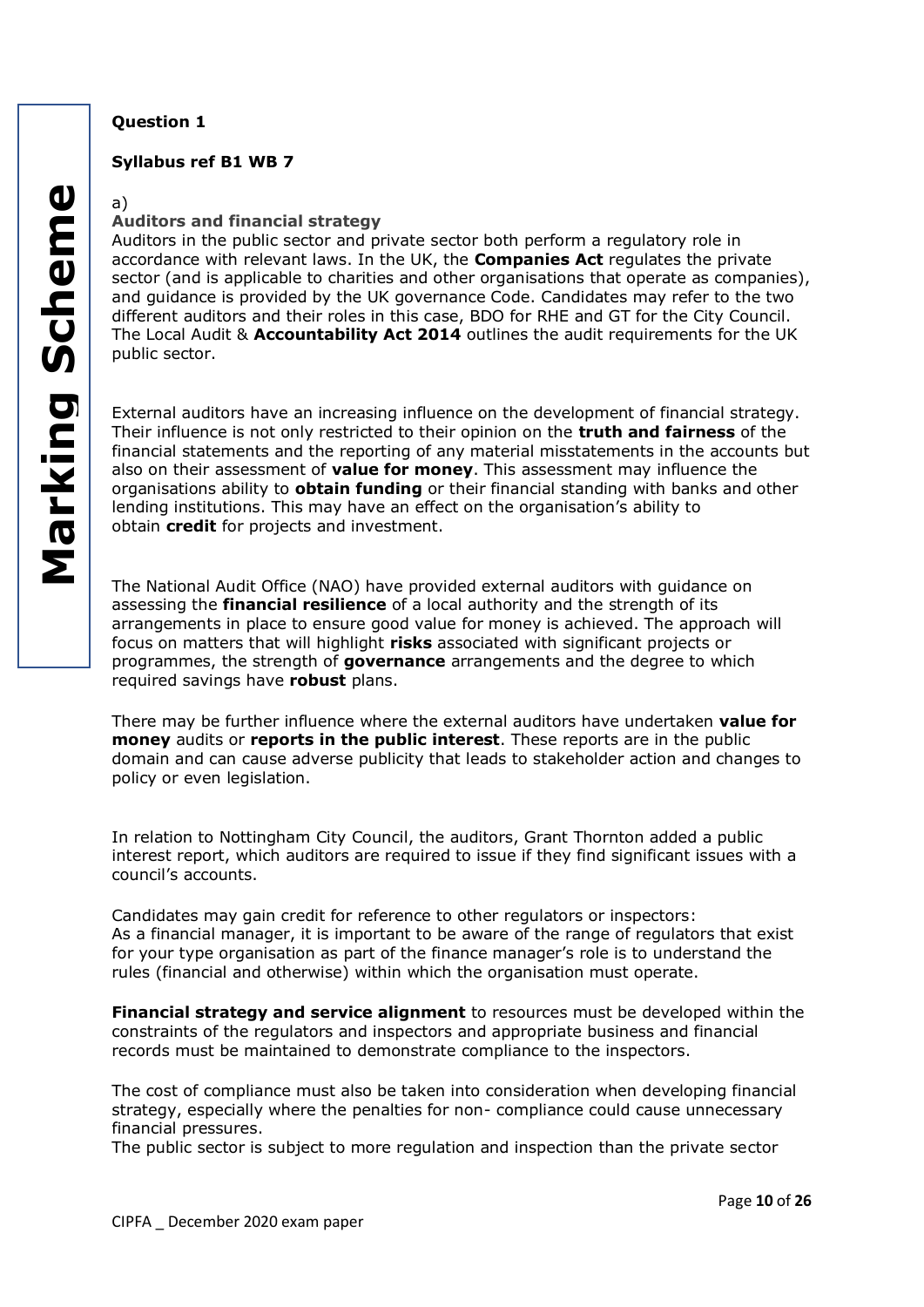## **Syllabus ref B1 WB 7**

a)

## **Auditors and financial strategy**

Auditors in the public sector and private sector both perform a regulatory role in accordance with relevant laws. In the UK, the **Companies Act** regulates the private sector (and is applicable to charities and other organisations that operate as companies), and guidance is provided by the UK governance Code. Candidates may refer to the two different auditors and their roles in this case, BDO for RHE and GT for the City Council. The Local Audit & **Accountability Act 2014** outlines the audit requirements for the UK public sector.

External auditors have an increasing influence on the development of financial strategy. Their influence is not only restricted to their opinion on the **truth and fairness** of the financial statements and the reporting of any material misstatements in the accounts but also on their assessment of **value for money**. This assessment may influence the organisations ability to **obtain funding** or their financial standing with banks and other lending institutions. This may have an effect on the organisation's ability to obtain **credit** for projects and investment.

The National Audit Office (NAO) have provided external auditors with guidance on assessing the **financial resilience** of a local authority and the strength of its arrangements in place to ensure good value for money is achieved. The approach will focus on matters that will highlight **risks** associated with significant projects or programmes, the strength of **governance** arrangements and the degree to which required savings have **robust** plans.

There may be further influence where the external auditors have undertaken **value for money** audits or **reports in the public interest**. These reports are in the public domain and can cause adverse publicity that leads to stakeholder action and changes to policy or even legislation.

In relation to Nottingham City Council, the auditors, Grant Thornton added a public interest report, which auditors are required to issue if they find significant issues with a council's accounts.

Candidates may gain credit for reference to other regulators or inspectors: As a financial manager, it is important to be aware of the range of regulators that exist for your type organisation as part of the finance manager's role is to understand the rules (financial and otherwise) within which the organisation must operate.

**Financial strategy and service alignment** to resources must be developed within the constraints of the regulators and inspectors and appropriate business and financial records must be maintained to demonstrate compliance to the inspectors.

The cost of compliance must also be taken into consideration when developing financial strategy, especially where the penalties for non- compliance could cause unnecessary financial pressures.

The public sector is subject to more regulation and inspection than the private sector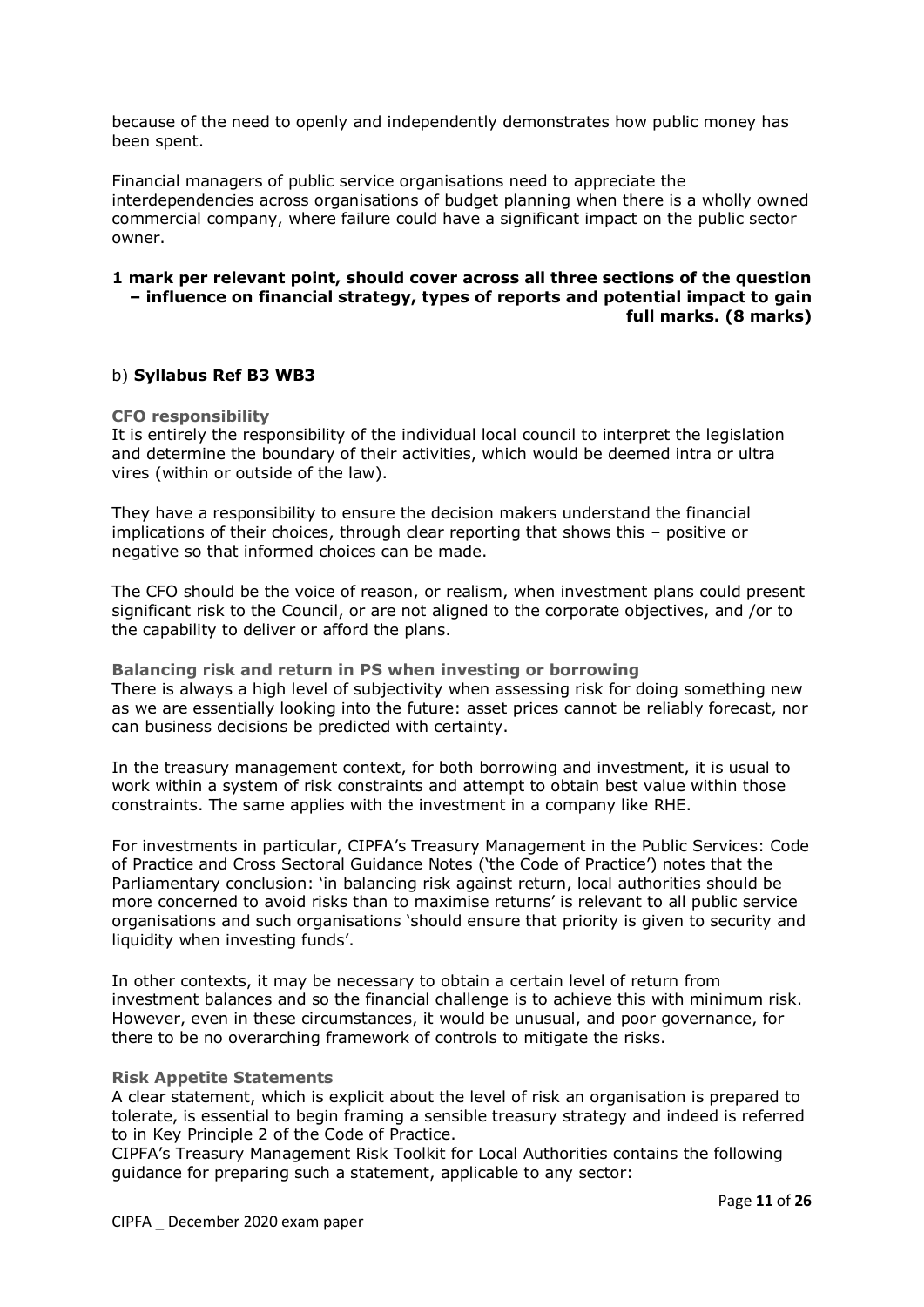because of the need to openly and independently demonstrates how public money has been spent.

Financial managers of public service organisations need to appreciate the interdependencies across organisations of budget planning when there is a wholly owned commercial company, where failure could have a significant impact on the public sector owner.

## **1 mark per relevant point, should cover across all three sections of the question – influence on financial strategy, types of reports and potential impact to gain full marks. (8 marks)**

#### b) **Syllabus Ref B3 WB3**

#### **CFO responsibility**

It is entirely the responsibility of the individual local council to interpret the legislation and determine the boundary of their activities, which would be deemed intra or ultra vires (within or outside of the law).

They have a responsibility to ensure the decision makers understand the financial implications of their choices, through clear reporting that shows this – positive or negative so that informed choices can be made.

The CFO should be the voice of reason, or realism, when investment plans could present significant risk to the Council, or are not aligned to the corporate objectives, and /or to the capability to deliver or afford the plans.

**Balancing risk and return in PS when investing or borrowing** There is always a high level of subjectivity when assessing risk for doing something new as we are essentially looking into the future: asset prices cannot be reliably forecast, nor can business decisions be predicted with certainty.

In the treasury management context, for both borrowing and investment, it is usual to work within a system of risk constraints and attempt to obtain best value within those constraints. The same applies with the investment in a company like RHE.

For investments in particular, CIPFA's Treasury Management in the Public Services: Code of Practice and Cross Sectoral Guidance Notes ('the Code of Practice') notes that the Parliamentary conclusion: 'in balancing risk against return, local authorities should be more concerned to avoid risks than to maximise returns' is relevant to all public service organisations and such organisations 'should ensure that priority is given to security and liquidity when investing funds'.

In other contexts, it may be necessary to obtain a certain level of return from investment balances and so the financial challenge is to achieve this with minimum risk. However, even in these circumstances, it would be unusual, and poor governance, for there to be no overarching framework of controls to mitigate the risks.

#### **Risk Appetite Statements**

A clear statement, which is explicit about the level of risk an organisation is prepared to tolerate, is essential to begin framing a sensible treasury strategy and indeed is referred to in Key Principle 2 of the Code of Practice.

CIPFA's Treasury Management Risk Toolkit for Local Authorities contains the following guidance for preparing such a statement, applicable to any sector: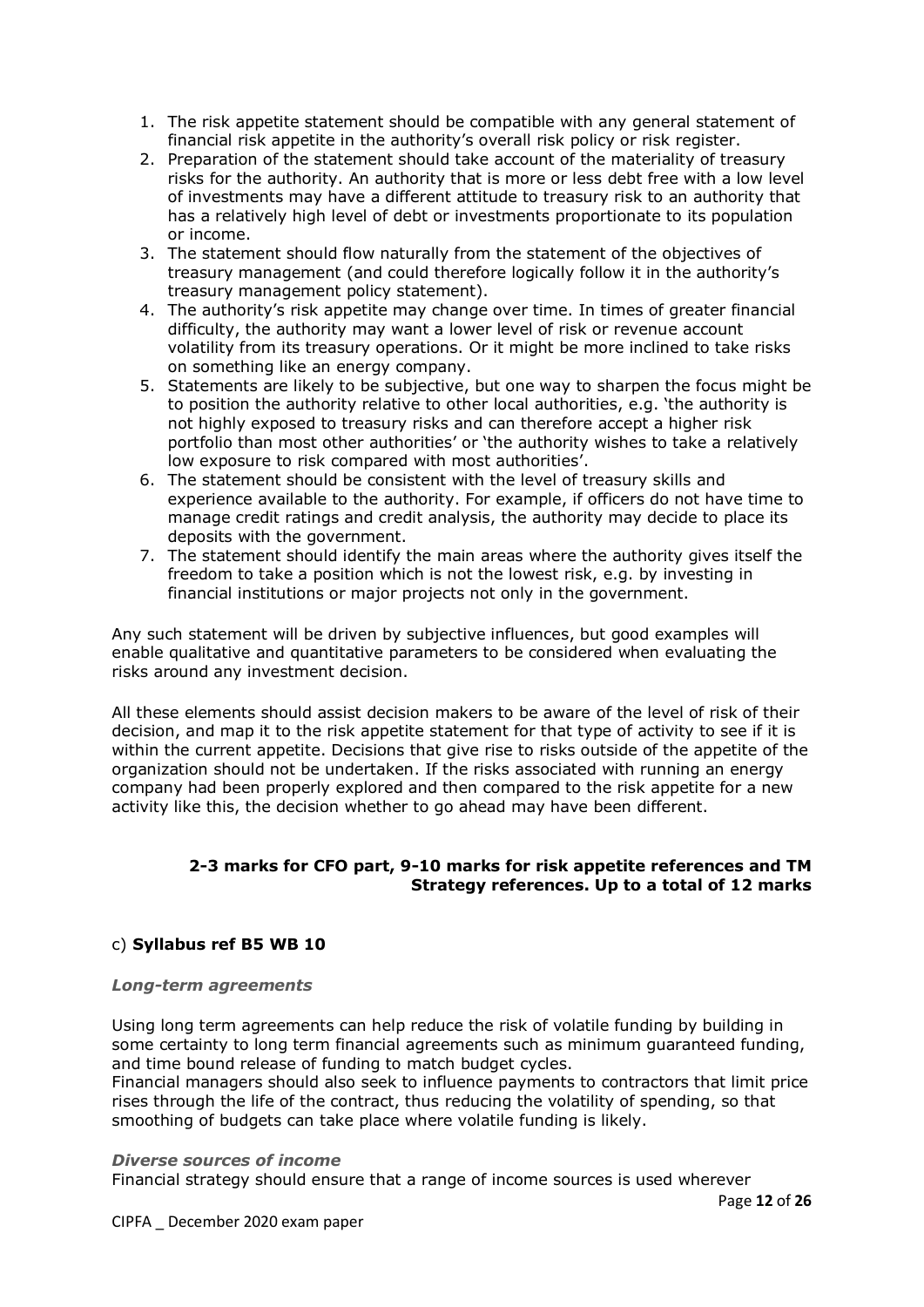1. The risk appetite statement should be compatible with any general statement of financial risk appetite in the authority's overall risk policy or risk register.

- 2. Preparation of the statement should take account of the materiality of treasury risks for the authority. An authority that is more or less debt free with a low level of investments may have a different attitude to treasury risk to an authority that has a relatively high level of debt or investments proportionate to its population or income.
- 3. The statement should flow naturally from the statement of the objectives of treasury management (and could therefore logically follow it in the authority's treasury management policy statement).
- 4. The authority's risk appetite may change over time. In times of greater financial difficulty, the authority may want a lower level of risk or revenue account volatility from its treasury operations. Or it might be more inclined to take risks on something like an energy company.
- 5. Statements are likely to be subjective, but one way to sharpen the focus might be to position the authority relative to other local authorities, e.g. 'the authority is not highly exposed to treasury risks and can therefore accept a higher risk portfolio than most other authorities' or 'the authority wishes to take a relatively low exposure to risk compared with most authorities'.
- 6. The statement should be consistent with the level of treasury skills and experience available to the authority. For example, if officers do not have time to manage credit ratings and credit analysis, the authority may decide to place its deposits with the government.
- 7. The statement should identify the main areas where the authority gives itself the freedom to take a position which is not the lowest risk, e.g. by investing in financial institutions or major projects not only in the government.

Any such statement will be driven by subjective influences, but good examples will enable qualitative and quantitative parameters to be considered when evaluating the risks around any investment decision.

All these elements should assist decision makers to be aware of the level of risk of their decision, and map it to the risk appetite statement for that type of activity to see if it is within the current appetite. Decisions that give rise to risks outside of the appetite of the organization should not be undertaken. If the risks associated with running an energy company had been properly explored and then compared to the risk appetite for a new activity like this, the decision whether to go ahead may have been different.

## **2-3 marks for CFO part, 9-10 marks for risk appetite references and TM Strategy references. Up to a total of 12 marks**

## c) **Syllabus ref B5 WB 10**

#### *Long-term agreements*

Using long term agreements can help reduce the risk of volatile funding by building in some certainty to long term financial agreements such as minimum guaranteed funding, and time bound release of funding to match budget cycles.

Financial managers should also seek to influence payments to contractors that limit price rises through the life of the contract, thus reducing the volatility of spending, so that smoothing of budgets can take place where volatile funding is likely.

#### *Diverse sources of income*

Financial strategy should ensure that a range of income sources is used wherever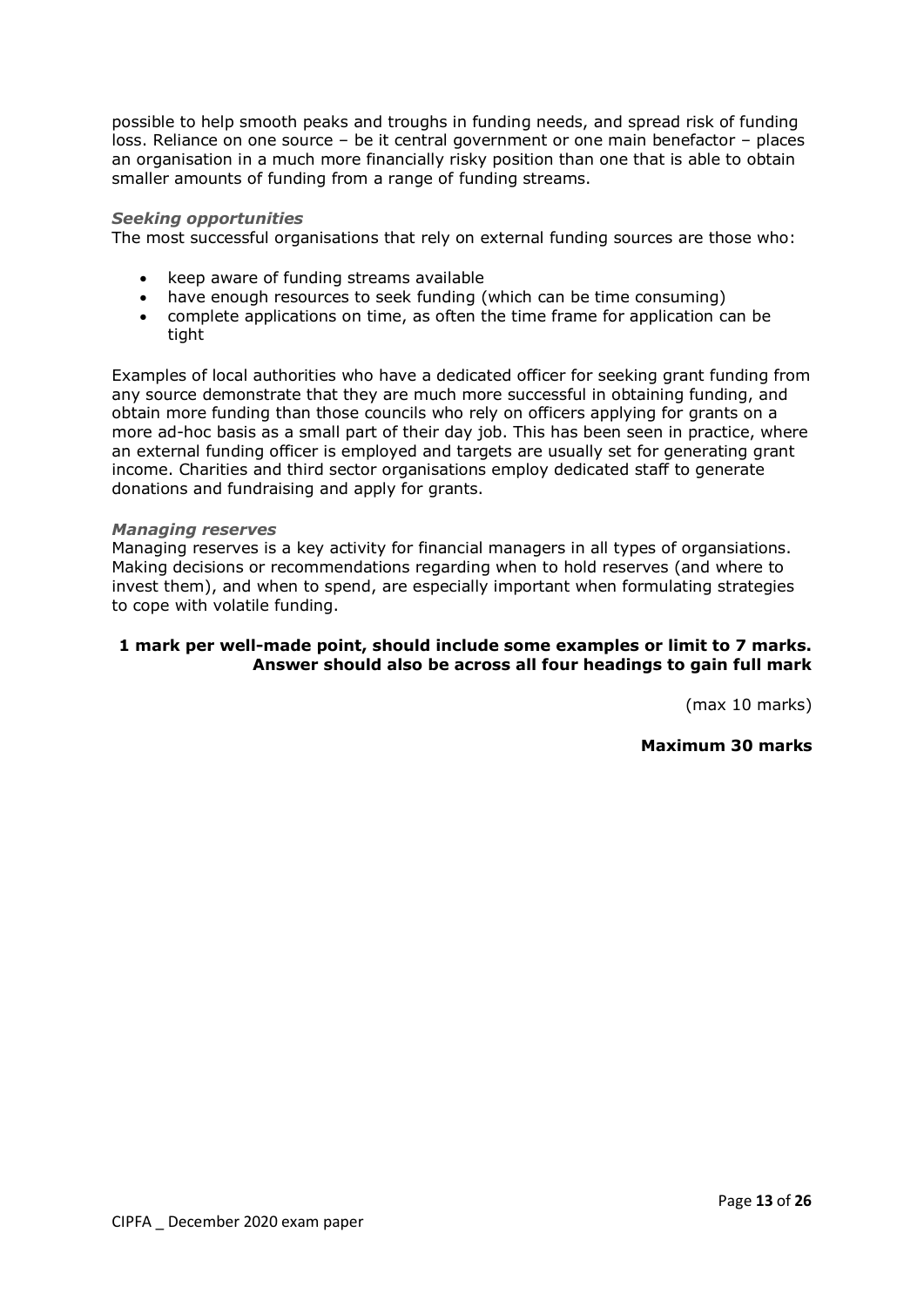possible to help smooth peaks and troughs in funding needs, and spread risk of funding loss. Reliance on one source – be it central government or one main benefactor – places an organisation in a much more financially risky position than one that is able to obtain smaller amounts of funding from a range of funding streams.

#### *Seeking opportunities*

The most successful organisations that rely on external funding sources are those who:

- keep aware of funding streams available
- have enough resources to seek funding (which can be time consuming)
- complete applications on time, as often the time frame for application can be tight

Examples of local authorities who have a dedicated officer for seeking grant funding from any source demonstrate that they are much more successful in obtaining funding, and obtain more funding than those councils who rely on officers applying for grants on a more ad-hoc basis as a small part of their day job. This has been seen in practice, where an external funding officer is employed and targets are usually set for generating grant income. Charities and third sector organisations employ dedicated staff to generate donations and fundraising and apply for grants.

#### *Managing reserves*

Managing reserves is a key activity for financial managers in all types of organsiations. Making decisions or recommendations regarding when to hold reserves (and where to invest them), and when to spend, are especially important when formulating strategies to cope with volatile funding.

## **1 mark per well-made point, should include some examples or limit to 7 marks. Answer should also be across all four headings to gain full mark**

(max 10 marks)

**Maximum 30 marks**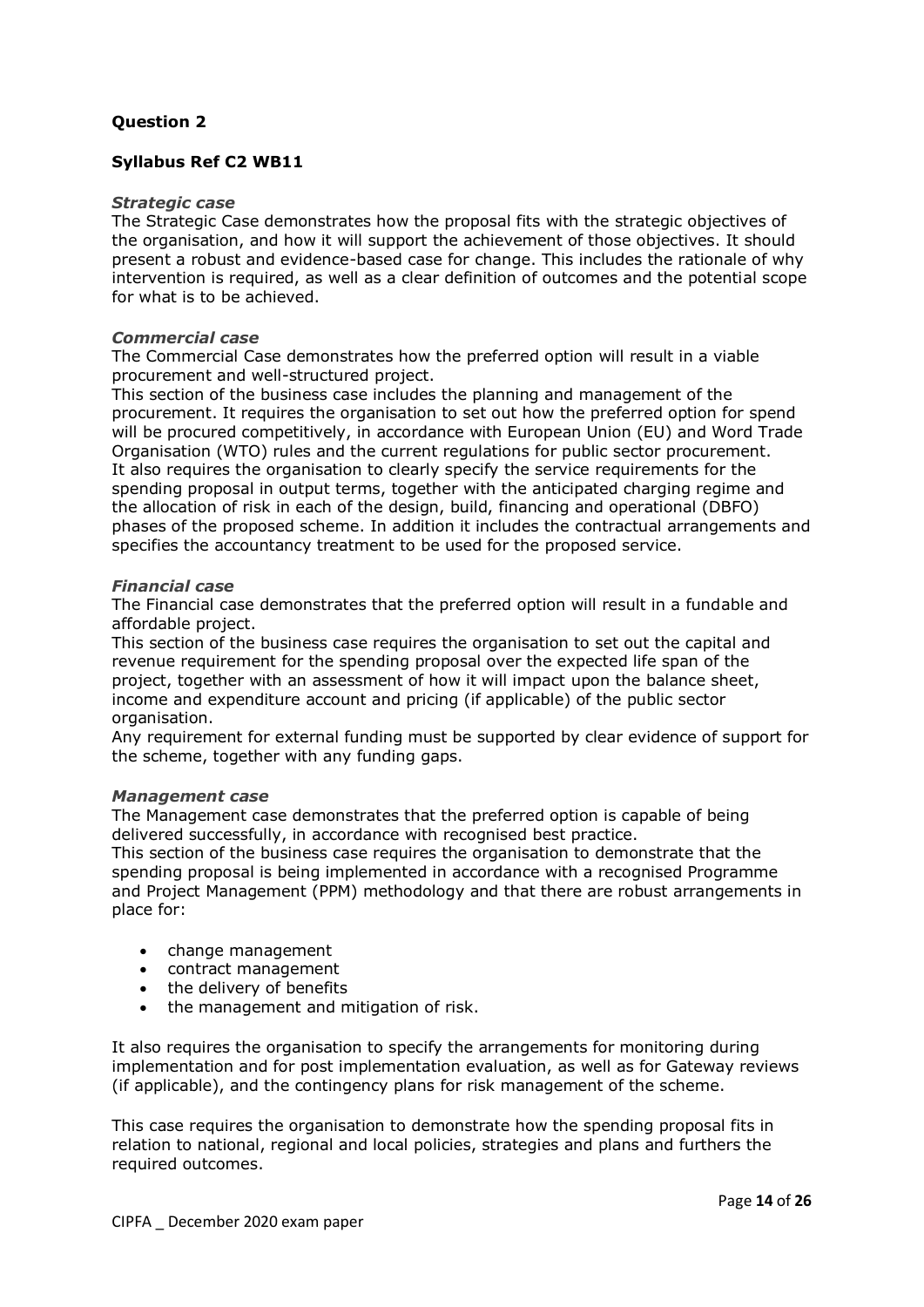## **Syllabus Ref C2 WB11**

#### *Strategic case*

The Strategic Case demonstrates how the proposal fits with the strategic objectives of the organisation, and how it will support the achievement of those objectives. It should present a robust and evidence-based case for change. This includes the rationale of why intervention is required, as well as a clear definition of outcomes and the potential scope for what is to be achieved.

#### *Commercial case*

The Commercial Case demonstrates how the preferred option will result in a viable procurement and well-structured project.

This section of the business case includes the planning and management of the procurement. It requires the organisation to set out how the preferred option for spend will be procured competitively, in accordance with European Union (EU) and Word Trade Organisation (WTO) rules and the current regulations for public sector procurement. It also requires the organisation to clearly specify the service requirements for the spending proposal in output terms, together with the anticipated charging regime and the allocation of risk in each of the design, build, financing and operational (DBFO) phases of the proposed scheme. In addition it includes the contractual arrangements and specifies the accountancy treatment to be used for the proposed service.

#### *Financial case*

The Financial case demonstrates that the preferred option will result in a fundable and affordable project.

This section of the business case requires the organisation to set out the capital and revenue requirement for the spending proposal over the expected life span of the project, together with an assessment of how it will impact upon the balance sheet, income and expenditure account and pricing (if applicable) of the public sector organisation.

Any requirement for external funding must be supported by clear evidence of support for the scheme, together with any funding gaps.

#### *Management case*

The Management case demonstrates that the preferred option is capable of being delivered successfully, in accordance with recognised best practice.

This section of the business case requires the organisation to demonstrate that the spending proposal is being implemented in accordance with a recognised Programme and Project Management (PPM) methodology and that there are robust arrangements in place for:

- change management
- contract management
- the delivery of benefits
- the management and mitigation of risk.

It also requires the organisation to specify the arrangements for monitoring during implementation and for post implementation evaluation, as well as for Gateway reviews (if applicable), and the contingency plans for risk management of the scheme.

This case requires the organisation to demonstrate how the spending proposal fits in relation to national, regional and local policies, strategies and plans and furthers the required outcomes.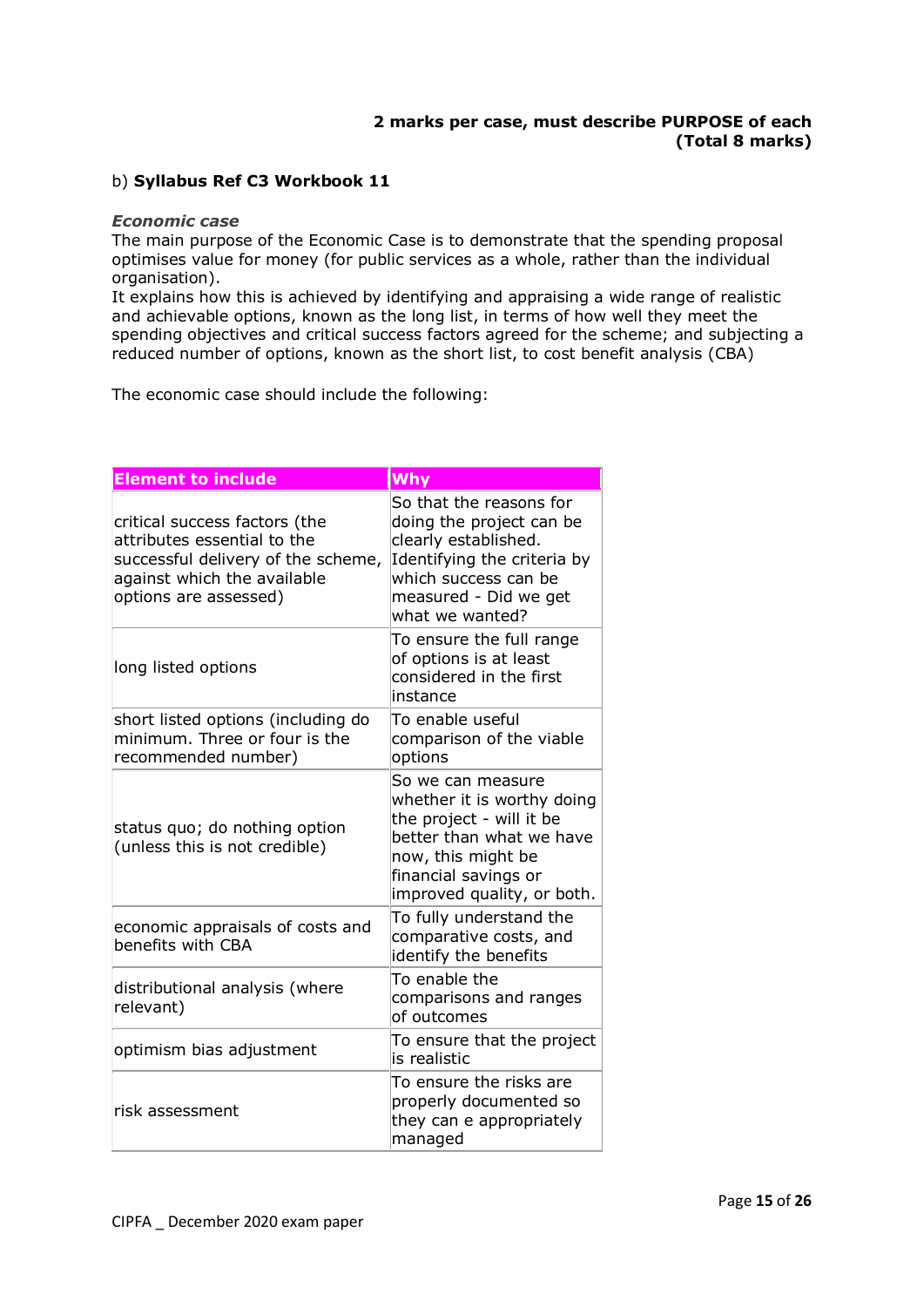## **2 marks per case, must describe PURPOSE of each (Total 8 marks)**

## b) **Syllabus Ref C3 Workbook 11**

#### *Economic case*

The main purpose of the Economic Case is to demonstrate that the spending proposal optimises value for money (for public services as a whole, rather than the individual organisation).

It explains how this is achieved by identifying and appraising a wide range of realistic and achievable options, known as the long list, in terms of how well they meet the spending objectives and critical success factors agreed for the scheme; and subjecting a reduced number of options, known as the short list, to cost benefit analysis (CBA)

The economic case should include the following:

| <b>Element to include</b>                                                                                                                                  | Why                                                                                                                                                                                 |  |
|------------------------------------------------------------------------------------------------------------------------------------------------------------|-------------------------------------------------------------------------------------------------------------------------------------------------------------------------------------|--|
| critical success factors (the<br>attributes essential to the<br>successful delivery of the scheme,<br>against which the available<br>options are assessed) | So that the reasons for<br>doing the project can be<br>clearly established.<br>Identifying the criteria by<br>which success can be<br>measured - Did we get<br>what we wanted?      |  |
| long listed options                                                                                                                                        | To ensure the full range<br>of options is at least<br>considered in the first<br>instance                                                                                           |  |
| short listed options (including do<br>minimum. Three or four is the<br>recommended number)                                                                 | To enable useful<br>comparison of the viable<br>options                                                                                                                             |  |
| status quo; do nothing option<br>(unless this is not credible)                                                                                             | So we can measure<br>whether it is worthy doing<br>the project - will it be<br>better than what we have<br>now, this might be<br>financial savings or<br>improved quality, or both. |  |
| economic appraisals of costs and<br>benefits with CBA                                                                                                      | To fully understand the<br>comparative costs, and<br>identify the benefits                                                                                                          |  |
| distributional analysis (where<br>relevant)                                                                                                                | To enable the<br>comparisons and ranges<br>of outcomes                                                                                                                              |  |
| optimism bias adjustment                                                                                                                                   | To ensure that the project<br>is realistic                                                                                                                                          |  |
| risk assessment                                                                                                                                            | To ensure the risks are<br>properly documented so<br>they can e appropriately<br>managed                                                                                            |  |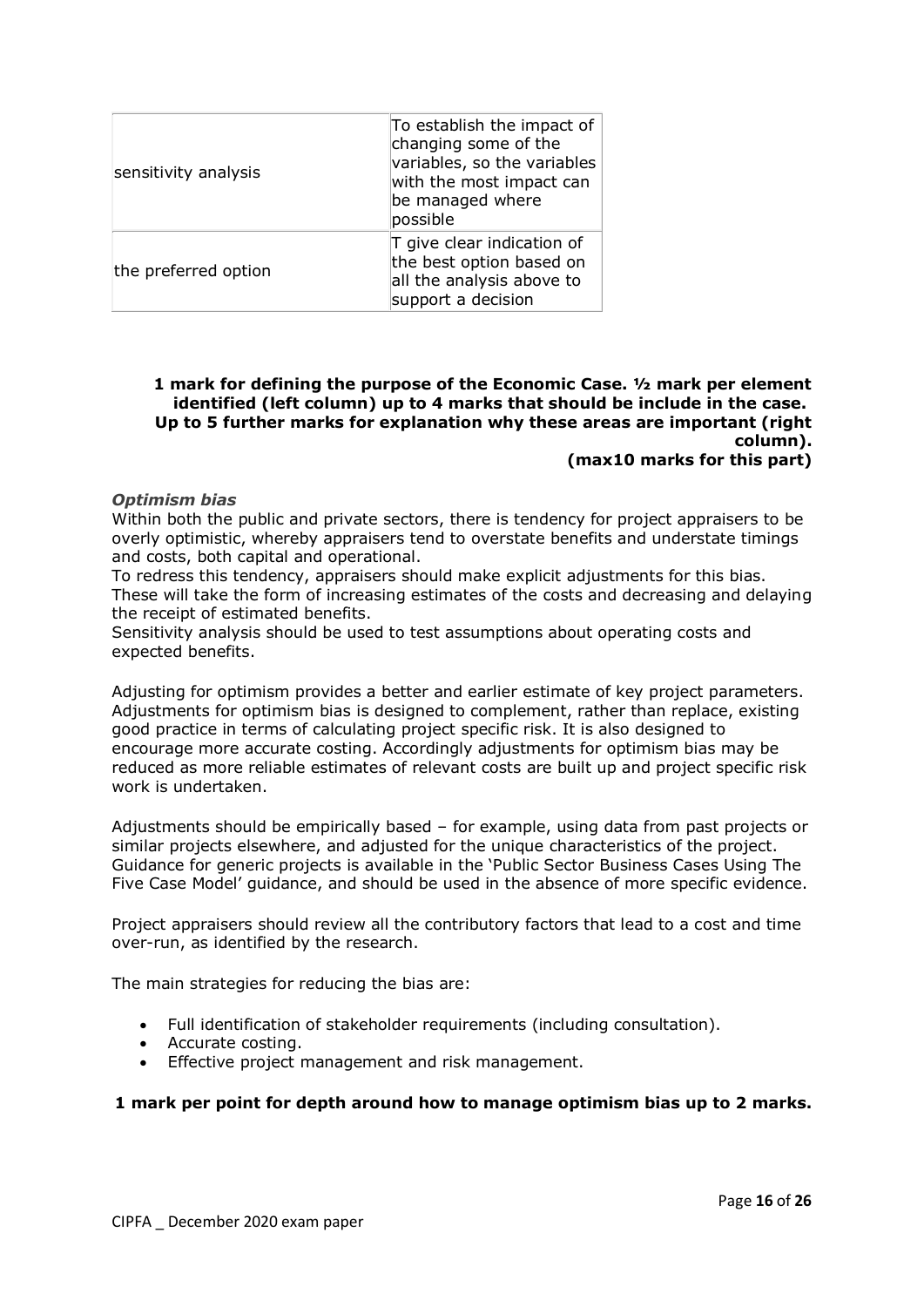| sensitivity analysis | To establish the impact of<br>changing some of the<br>variables, so the variables<br>with the most impact can<br>be managed where<br>possible |
|----------------------|-----------------------------------------------------------------------------------------------------------------------------------------------|
| the preferred option | $\mathsf T$ give clear indication of<br>the best option based on<br>all the analysis above to<br>support a decision                           |

#### **1 mark for defining the purpose of the Economic Case. ½ mark per element identified (left column) up to 4 marks that should be include in the case. Up to 5 further marks for explanation why these areas are important (right column). (max10 marks for this part)**

#### *Optimism bias*

Within both the public and private sectors, there is tendency for project appraisers to be overly optimistic, whereby appraisers tend to overstate benefits and understate timings and costs, both capital and operational.

To redress this tendency, appraisers should make explicit adjustments for this bias. These will take the form of increasing estimates of the costs and decreasing and delaying the receipt of estimated benefits.

Sensitivity analysis should be used to test assumptions about operating costs and expected benefits.

Adjusting for optimism provides a better and earlier estimate of key project parameters. Adjustments for optimism bias is designed to complement, rather than replace, existing good practice in terms of calculating project specific risk. It is also designed to encourage more accurate costing. Accordingly adjustments for optimism bias may be reduced as more reliable estimates of relevant costs are built up and project specific risk work is undertaken.

Adjustments should be empirically based – for example, using data from past projects or similar projects elsewhere, and adjusted for the unique characteristics of the project. Guidance for generic projects is available in the 'Public Sector Business Cases Using The Five Case Model' guidance, and should be used in the absence of more specific evidence.

Project appraisers should review all the contributory factors that lead to a cost and time over-run, as identified by the research.

The main strategies for reducing the bias are:

- Full identification of stakeholder requirements (including consultation).
- Accurate costing.
- Effective project management and risk management.

#### **1 mark per point for depth around how to manage optimism bias up to 2 marks.**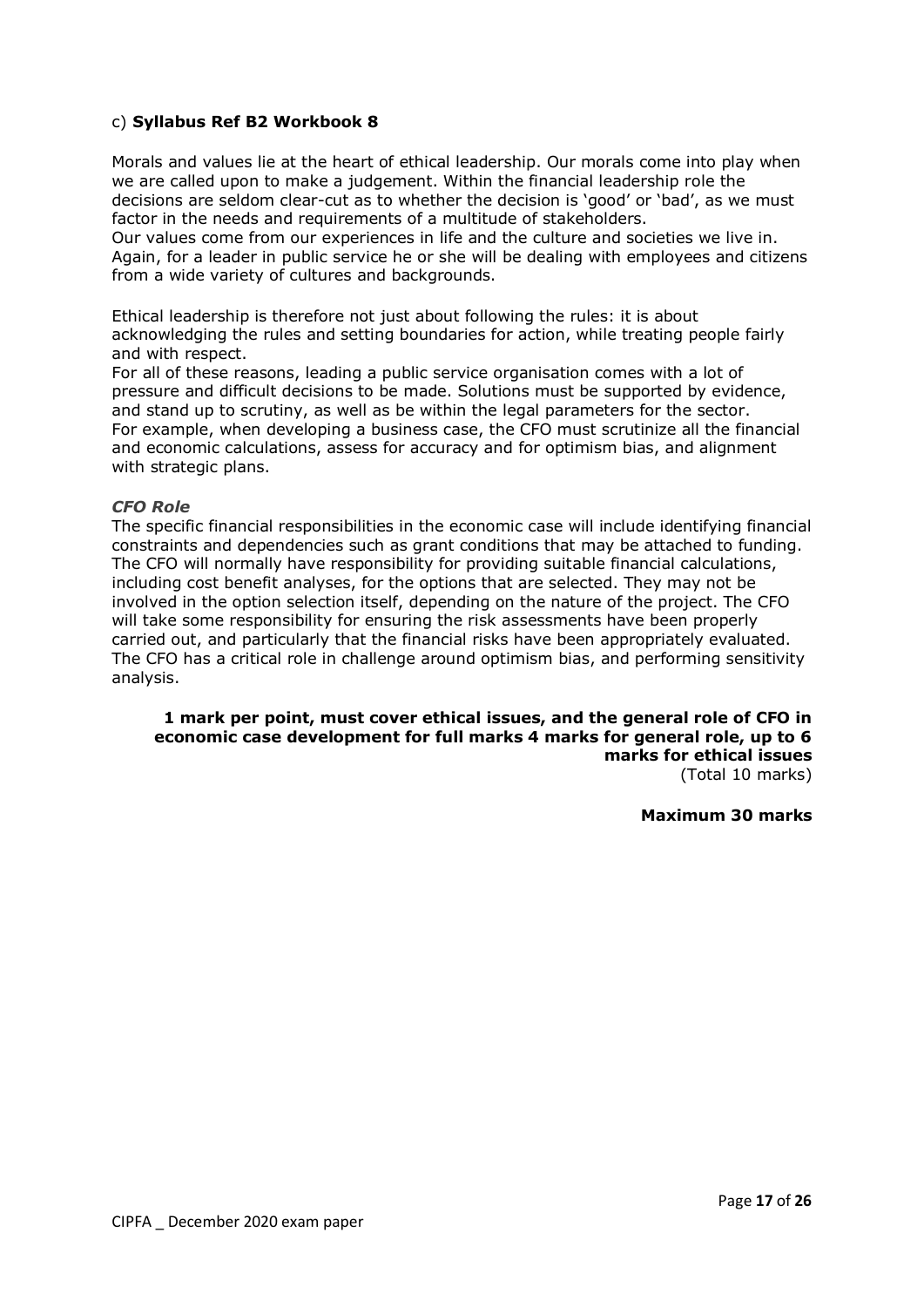## c) **Syllabus Ref B2 Workbook 8**

Morals and values lie at the heart of ethical leadership. Our morals come into play when we are called upon to make a judgement. Within the financial leadership role the decisions are seldom clear-cut as to whether the decision is 'good' or 'bad', as we must factor in the needs and requirements of a multitude of stakeholders.

Our values come from our experiences in life and the culture and societies we live in. Again, for a leader in public service he or she will be dealing with employees and citizens from a wide variety of cultures and backgrounds.

Ethical leadership is therefore not just about following the rules: it is about acknowledging the rules and setting boundaries for action, while treating people fairly and with respect.

For all of these reasons, leading a public service organisation comes with a lot of pressure and difficult decisions to be made. Solutions must be supported by evidence, and stand up to scrutiny, as well as be within the legal parameters for the sector. For example, when developing a business case, the CFO must scrutinize all the financial and economic calculations, assess for accuracy and for optimism bias, and alignment with strategic plans.

#### *CFO Role*

The specific financial responsibilities in the economic case will include identifying financial constraints and dependencies such as grant conditions that may be attached to funding. The CFO will normally have responsibility for providing suitable financial calculations, including cost benefit analyses, for the options that are selected. They may not be involved in the option selection itself, depending on the nature of the project. The CFO will take some responsibility for ensuring the risk assessments have been properly carried out, and particularly that the financial risks have been appropriately evaluated. The CFO has a critical role in challenge around optimism bias, and performing sensitivity analysis.

#### **1 mark per point, must cover ethical issues, and the general role of CFO in economic case development for full marks 4 marks for general role, up to 6 marks for ethical issues** (Total 10 marks)

**Maximum 30 marks**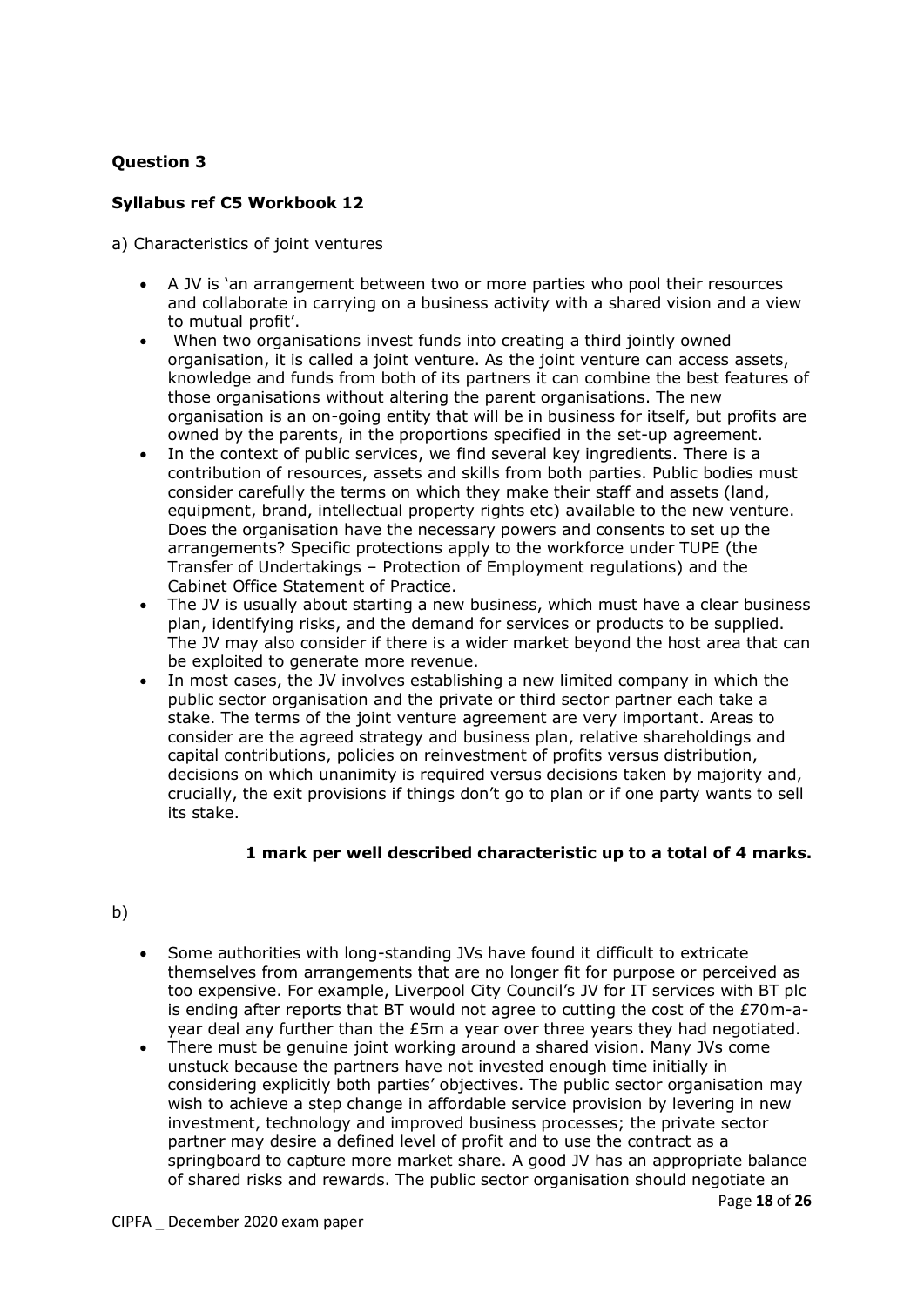## **Syllabus ref C5 Workbook 12**

a) Characteristics of joint ventures

- A JV is 'an arrangement between two or more parties who pool their resources and collaborate in carrying on a business activity with a shared vision and a view to mutual profit'.
- When two organisations invest funds into creating a third jointly owned organisation, it is called a joint venture. As the joint venture can access assets, knowledge and funds from both of its partners it can combine the best features of those organisations without altering the parent organisations. The new organisation is an on-going entity that will be in business for itself, but profits are owned by the parents, in the proportions specified in the set-up agreement.
- In the context of public services, we find several key ingredients. There is a contribution of resources, assets and skills from both parties. Public bodies must consider carefully the terms on which they make their staff and assets (land, equipment, brand, intellectual property rights etc) available to the new venture. Does the organisation have the necessary powers and consents to set up the arrangements? Specific protections apply to the workforce under TUPE (the Transfer of Undertakings – Protection of Employment regulations) and the Cabinet Office Statement of Practice.
- The JV is usually about starting a new business, which must have a clear business plan, identifying risks, and the demand for services or products to be supplied. The JV may also consider if there is a wider market beyond the host area that can be exploited to generate more revenue.
- In most cases, the JV involves establishing a new limited company in which the public sector organisation and the private or third sector partner each take a stake. The terms of the joint venture agreement are very important. Areas to consider are the agreed strategy and business plan, relative shareholdings and capital contributions, policies on reinvestment of profits versus distribution, decisions on which unanimity is required versus decisions taken by majority and, crucially, the exit provisions if things don't go to plan or if one party wants to sell its stake.

## **1 mark per well described characteristic up to a total of 4 marks.**

## b)

- Some authorities with long-standing JVs have found it difficult to extricate themselves from arrangements that are no longer fit for purpose or perceived as too expensive. For example, Liverpool City Council's JV for IT services with BT plc is ending after reports that BT would not agree to cutting the cost of the £70m-ayear deal any further than the £5m a year over three years they had negotiated.
- There must be genuine joint working around a shared vision. Many JVs come unstuck because the partners have not invested enough time initially in considering explicitly both parties' objectives. The public sector organisation may wish to achieve a step change in affordable service provision by levering in new investment, technology and improved business processes; the private sector partner may desire a defined level of profit and to use the contract as a springboard to capture more market share. A good JV has an appropriate balance of shared risks and rewards. The public sector organisation should negotiate an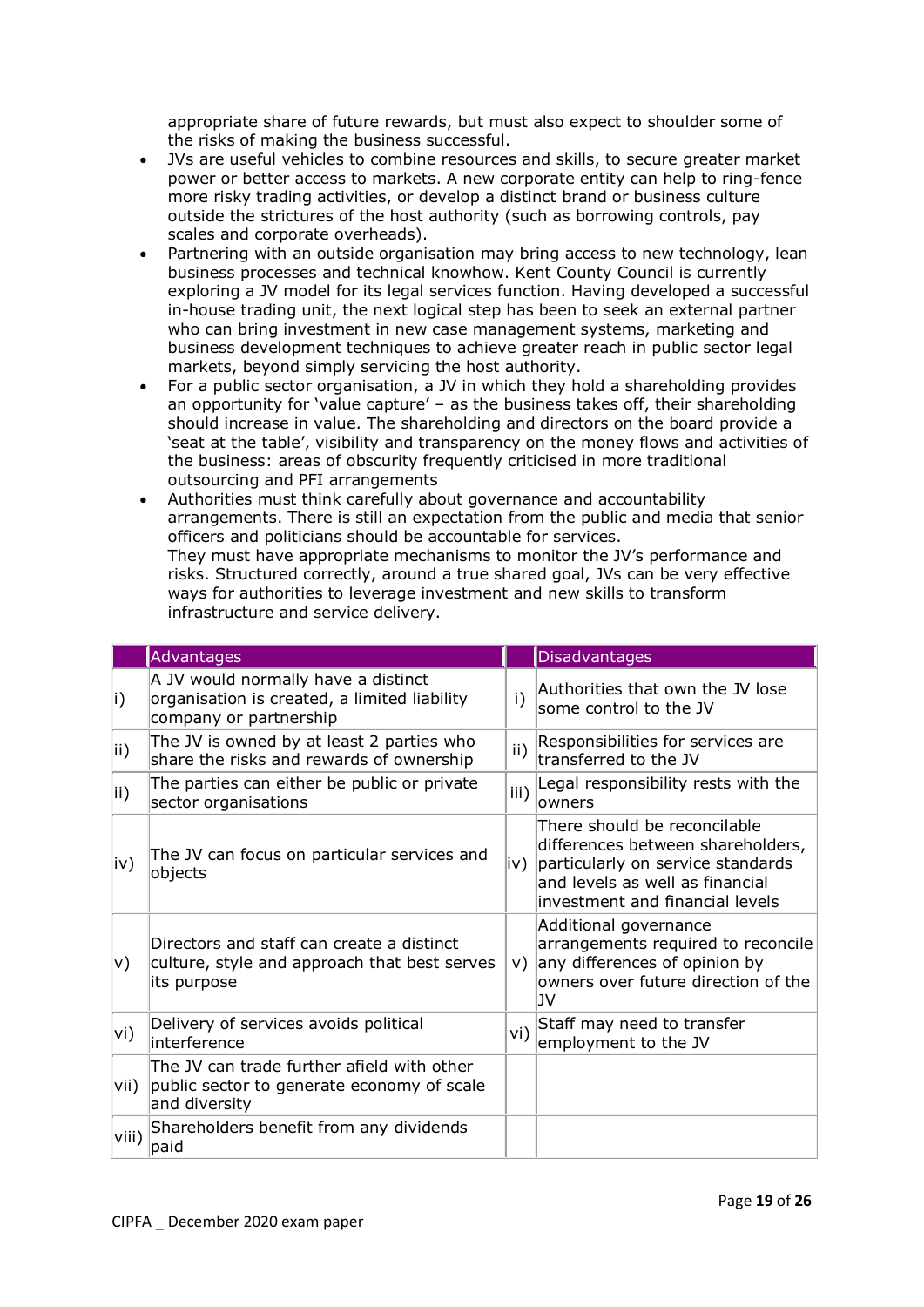appropriate share of future rewards, but must also expect to shoulder some of the risks of making the business successful.

- JVs are useful vehicles to combine resources and skills, to secure greater market power or better access to markets. A new corporate entity can help to ring-fence more risky trading activities, or develop a distinct brand or business culture outside the strictures of the host authority (such as borrowing controls, pay scales and corporate overheads).
- Partnering with an outside organisation may bring access to new technology, lean business processes and technical knowhow. Kent County Council is currently exploring a JV model for its legal services function. Having developed a successful in-house trading unit, the next logical step has been to seek an external partner who can bring investment in new case management systems, marketing and business development techniques to achieve greater reach in public sector legal markets, beyond simply servicing the host authority.
- For a public sector organisation, a JV in which they hold a shareholding provides an opportunity for 'value capture' – as the business takes off, their shareholding should increase in value. The shareholding and directors on the board provide a 'seat at the table', visibility and transparency on the money flows and activities of the business: areas of obscurity frequently criticised in more traditional outsourcing and PFI arrangements
- Authorities must think carefully about governance and accountability arrangements. There is still an expectation from the public and media that senior officers and politicians should be accountable for services. They must have appropriate mechanisms to monitor the JV's performance and risks. Structured correctly, around a true shared goal, JVs can be very effective ways for authorities to leverage investment and new skills to transform infrastructure and service delivery.

|               | <b>Advantages</b>                                                                                             |                | <b>Disadvantages</b>                                                                                                                                                         |
|---------------|---------------------------------------------------------------------------------------------------------------|----------------|------------------------------------------------------------------------------------------------------------------------------------------------------------------------------|
| i)            | A JV would normally have a distinct<br>organisation is created, a limited liability<br>company or partnership | $\mathsf{i}$ ) | Authorities that own the JV lose<br>some control to the JV                                                                                                                   |
| ii)           | The JV is owned by at least 2 parties who<br>share the risks and rewards of ownership                         |                | Responsibilities for services are<br>transferred to the JV                                                                                                                   |
| $\mathsf{ii}$ | The parties can either be public or private<br>sector organisations                                           |                | Legal responsibility rests with the<br>owners                                                                                                                                |
| iv)           | The JV can focus on particular services and<br>objects                                                        | iv) l          | There should be reconcilable<br>differences between shareholders,<br>particularly on service standards<br>and levels as well as financial<br>investment and financial levels |
| V)            | Directors and staff can create a distinct<br>culture, style and approach that best serves<br>its purpose      | V)             | Additional governance<br>arrangements required to reconcile<br>any differences of opinion by<br>owners over future direction of the<br>1V                                    |
| vi)           | Delivery of services avoids political<br>interference                                                         | vi)            | Staff may need to transfer<br>employment to the JV                                                                                                                           |
| vii)          | The JV can trade further afield with other<br>public sector to generate economy of scale<br>and diversity     |                |                                                                                                                                                                              |
| viii)         | Shareholders benefit from any dividends<br>paid                                                               |                |                                                                                                                                                                              |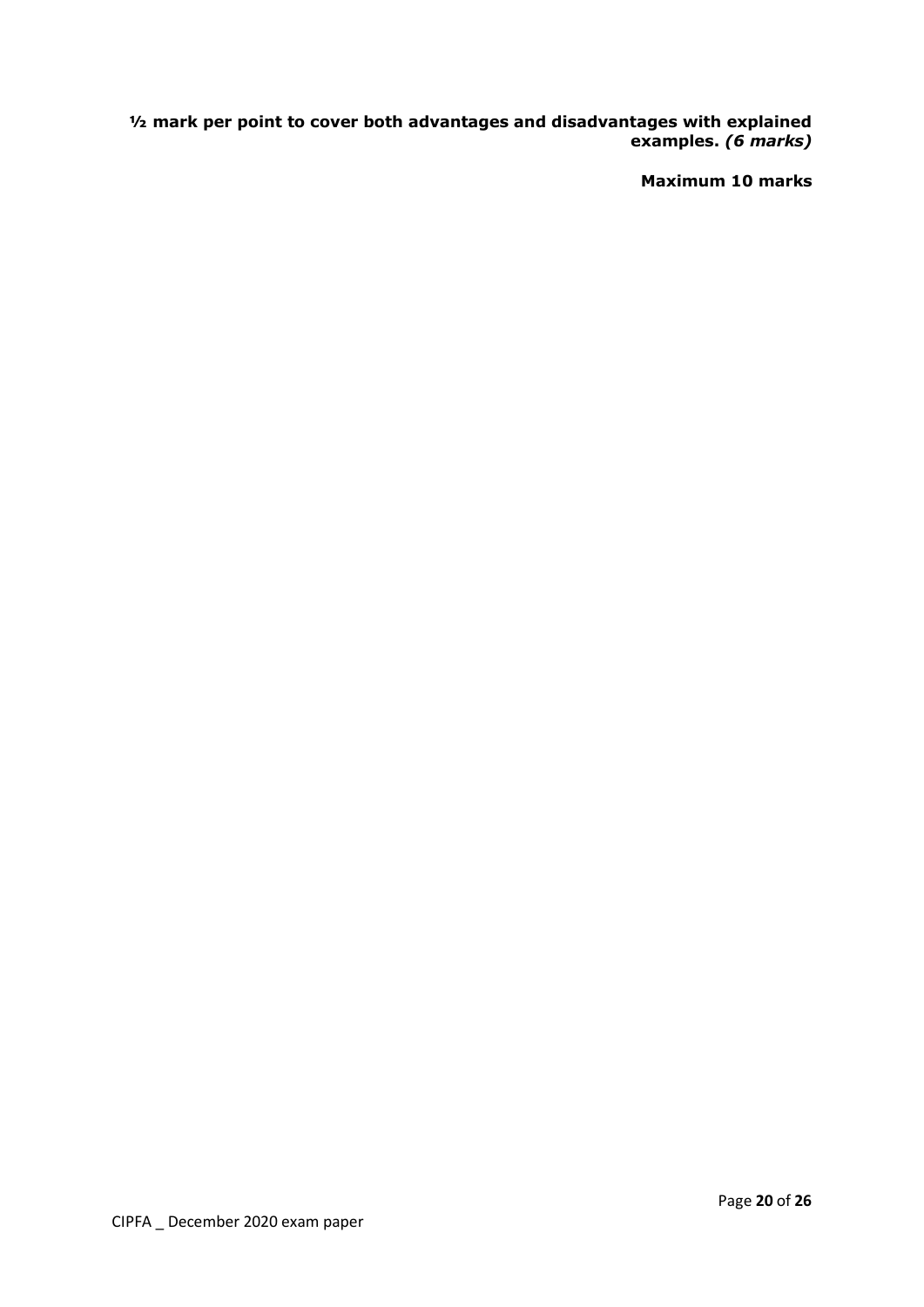**½ mark per point to cover both advantages and disadvantages with explained examples.** *(6 marks)*

**Maximum 10 marks**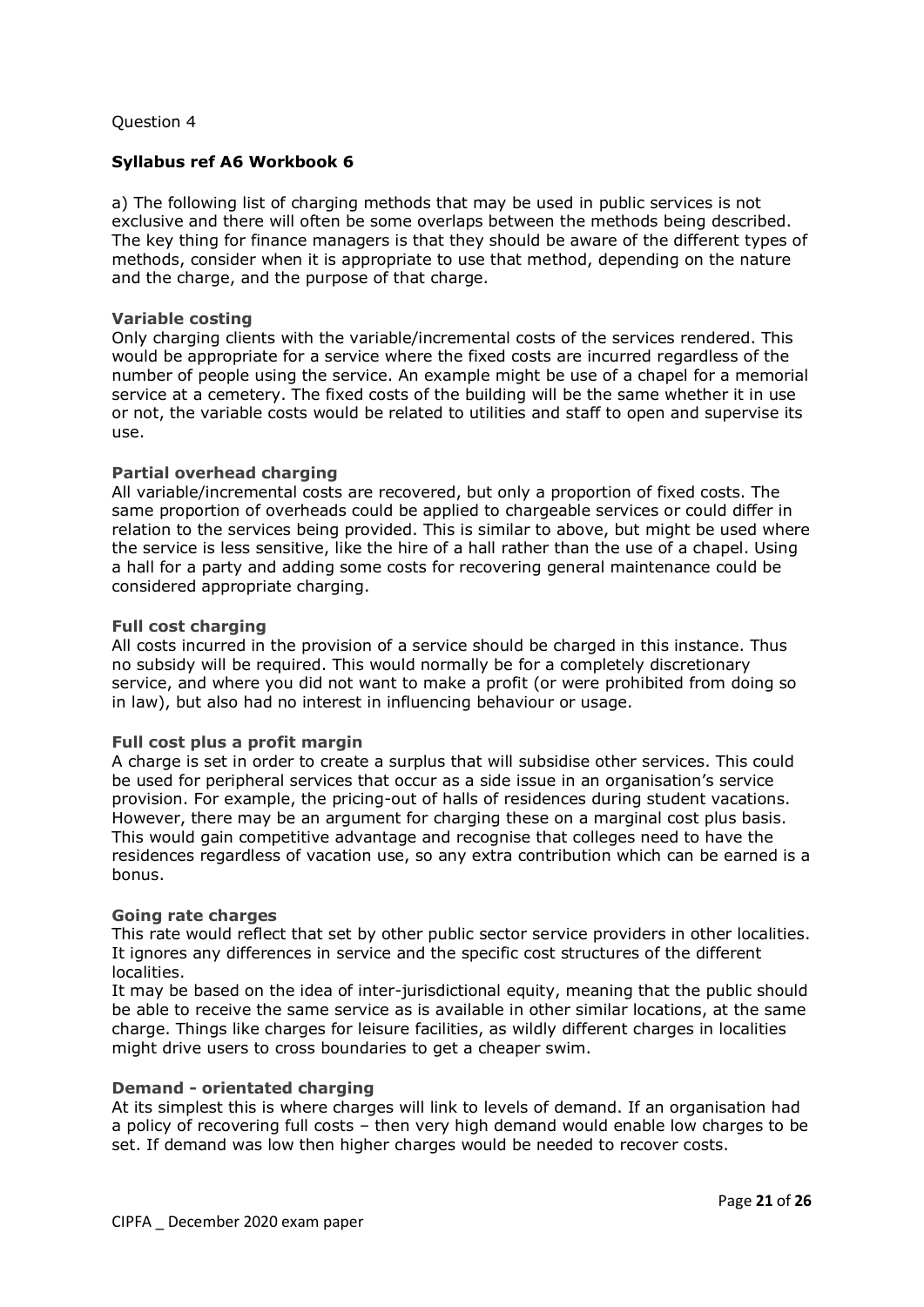## **Syllabus ref A6 Workbook 6**

a) The following list of charging methods that may be used in public services is not exclusive and there will often be some overlaps between the methods being described. The key thing for finance managers is that they should be aware of the different types of methods, consider when it is appropriate to use that method, depending on the nature and the charge, and the purpose of that charge.

#### **Variable costing**

Only charging clients with the variable/incremental costs of the services rendered. This would be appropriate for a service where the fixed costs are incurred regardless of the number of people using the service. An example might be use of a chapel for a memorial service at a cemetery. The fixed costs of the building will be the same whether it in use or not, the variable costs would be related to utilities and staff to open and supervise its use.

#### **Partial overhead charging**

All variable/incremental costs are recovered, but only a proportion of fixed costs. The same proportion of overheads could be applied to chargeable services or could differ in relation to the services being provided. This is similar to above, but might be used where the service is less sensitive, like the hire of a hall rather than the use of a chapel. Using a hall for a party and adding some costs for recovering general maintenance could be considered appropriate charging.

#### **Full cost charging**

All costs incurred in the provision of a service should be charged in this instance. Thus no subsidy will be required. This would normally be for a completely discretionary service, and where you did not want to make a profit (or were prohibited from doing so in law), but also had no interest in influencing behaviour or usage.

#### **Full cost plus a profit margin**

A charge is set in order to create a surplus that will subsidise other services. This could be used for peripheral services that occur as a side issue in an organisation's service provision. For example, the pricing-out of halls of residences during student vacations. However, there may be an argument for charging these on a marginal cost plus basis. This would gain competitive advantage and recognise that colleges need to have the residences regardless of vacation use, so any extra contribution which can be earned is a bonus.

#### **Going rate charges**

This rate would reflect that set by other public sector service providers in other localities. It ignores any differences in service and the specific cost structures of the different localities.

It may be based on the idea of inter-jurisdictional equity, meaning that the public should be able to receive the same service as is available in other similar locations, at the same charge. Things like charges for leisure facilities, as wildly different charges in localities might drive users to cross boundaries to get a cheaper swim.

#### **Demand - orientated charging**

At its simplest this is where charges will link to levels of demand. If an organisation had a policy of recovering full costs – then very high demand would enable low charges to be set. If demand was low then higher charges would be needed to recover costs.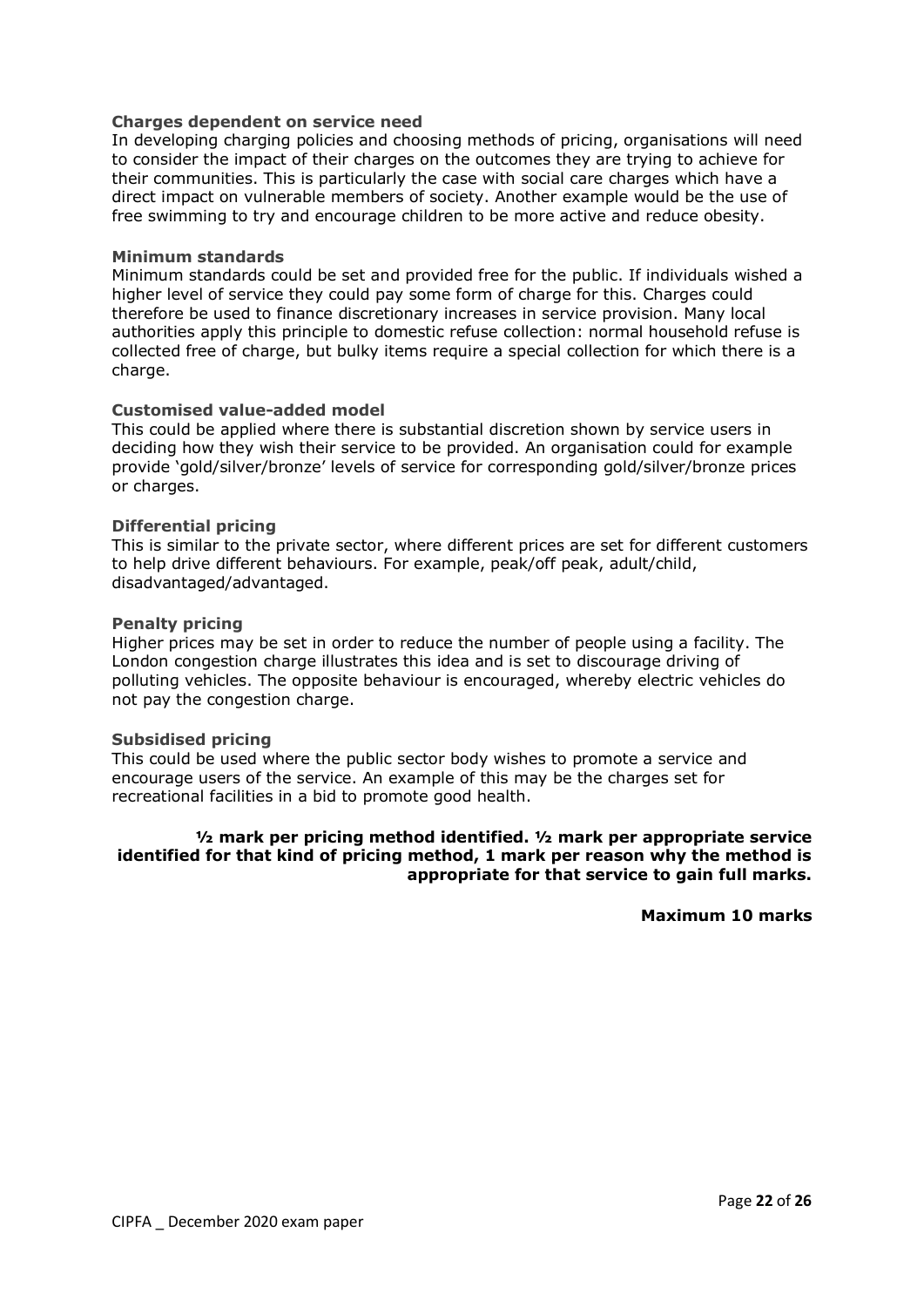#### **Charges dependent on service need**

In developing charging policies and choosing methods of pricing, organisations will need to consider the impact of their charges on the outcomes they are trying to achieve for their communities. This is particularly the case with social care charges which have a direct impact on vulnerable members of society. Another example would be the use of free swimming to try and encourage children to be more active and reduce obesity.

#### **Minimum standards**

Minimum standards could be set and provided free for the public. If individuals wished a higher level of service they could pay some form of charge for this. Charges could therefore be used to finance discretionary increases in service provision. Many local authorities apply this principle to domestic refuse collection: normal household refuse is collected free of charge, but bulky items require a special collection for which there is a charge.

#### **Customised value-added model**

This could be applied where there is substantial discretion shown by service users in deciding how they wish their service to be provided. An organisation could for example provide 'gold/silver/bronze' levels of service for corresponding gold/silver/bronze prices or charges.

#### **Differential pricing**

This is similar to the private sector, where different prices are set for different customers to help drive different behaviours. For example, peak/off peak, adult/child, disadvantaged/advantaged.

#### **Penalty pricing**

Higher prices may be set in order to reduce the number of people using a facility. The London congestion charge illustrates this idea and is set to discourage driving of polluting vehicles. The opposite behaviour is encouraged, whereby electric vehicles do not pay the congestion charge.

#### **Subsidised pricing**

This could be used where the public sector body wishes to promote a service and encourage users of the service. An example of this may be the charges set for recreational facilities in a bid to promote good health.

## **½ mark per pricing method identified. ½ mark per appropriate service identified for that kind of pricing method, 1 mark per reason why the method is appropriate for that service to gain full marks.**

**Maximum 10 marks**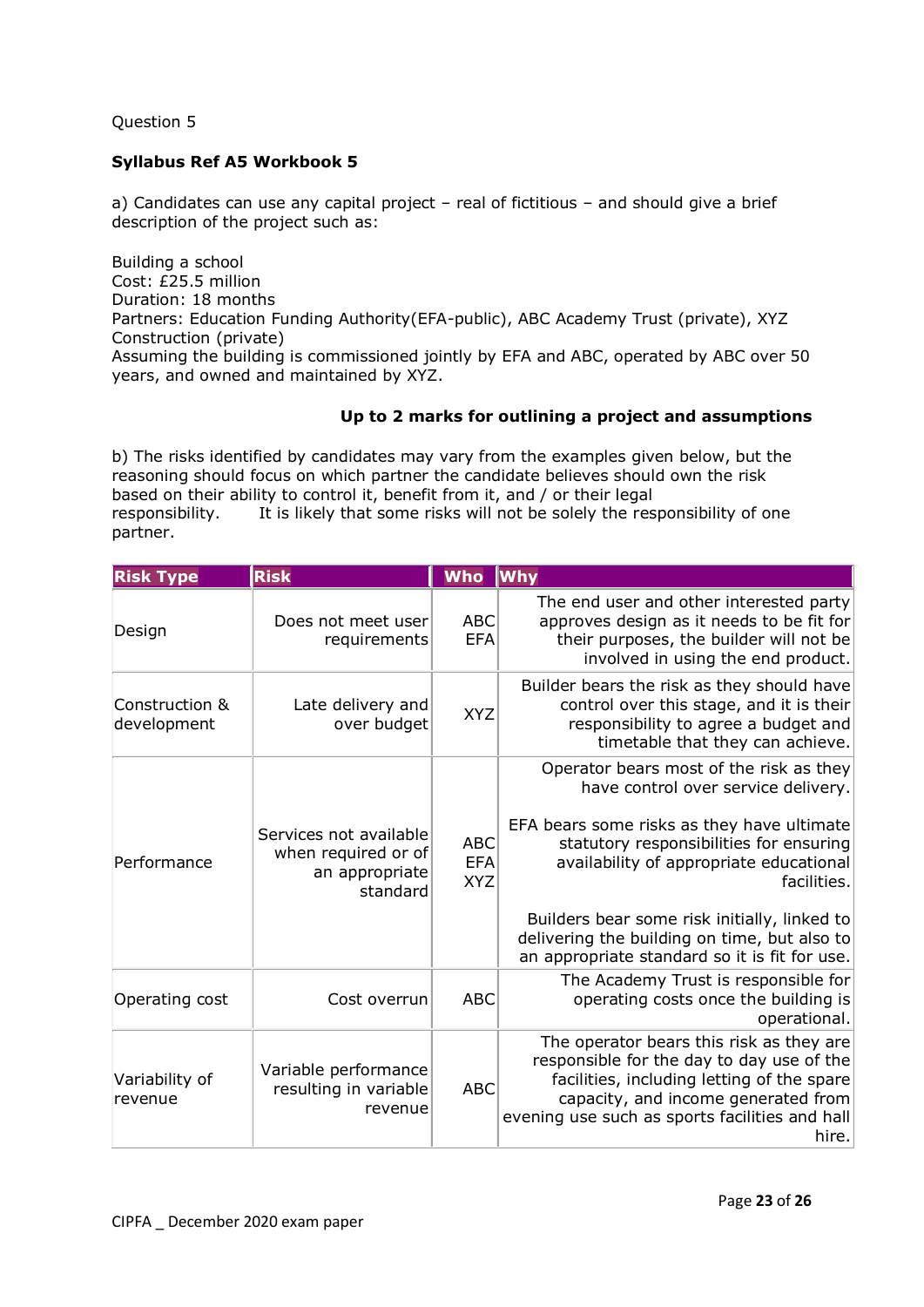## **Syllabus Ref A5 Workbook 5**

a) Candidates can use any capital project – real of fictitious – and should give a brief description of the project such as:

Building a school Cost: £25.5 million Duration: 18 months Partners: Education Funding Authority(EFA-public), ABC Academy Trust (private), XYZ Construction (private) Assuming the building is commissioned jointly by EFA and ABC, operated by ABC over 50 years, and owned and maintained by XYZ.

## **Up to 2 marks for outlining a project and assumptions**

b) The risks identified by candidates may vary from the examples given below, but the reasoning should focus on which partner the candidate believes should own the risk based on their ability to control it, benefit from it, and / or their legal responsibility. It is likely that some risks will not be solely the responsibility of one partner.

| <b>Risk Type</b>              | <b>Risk</b>                                                                 | <b>Who</b>                             | <b>Why</b>                                                                                                                                                                                                                                                                                                                                                                         |
|-------------------------------|-----------------------------------------------------------------------------|----------------------------------------|------------------------------------------------------------------------------------------------------------------------------------------------------------------------------------------------------------------------------------------------------------------------------------------------------------------------------------------------------------------------------------|
| Design                        | Does not meet user<br>requirements                                          | <b>ABC</b><br><b>EFA</b>               | The end user and other interested party<br>approves design as it needs to be fit for<br>their purposes, the builder will not be<br>involved in using the end product.                                                                                                                                                                                                              |
| Construction &<br>development | Late delivery and<br>over budget                                            | <b>XYZ</b>                             | Builder bears the risk as they should have<br>control over this stage, and it is their<br>responsibility to agree a budget and<br>timetable that they can achieve.                                                                                                                                                                                                                 |
| Performance                   | Services not available<br>when required or of<br>an appropriate<br>standard | <b>ABC</b><br><b>EFA</b><br><b>XYZ</b> | Operator bears most of the risk as they<br>have control over service delivery.<br>EFA bears some risks as they have ultimate<br>statutory responsibilities for ensuring<br>availability of appropriate educational<br>facilities.<br>Builders bear some risk initially, linked to<br>delivering the building on time, but also to<br>an appropriate standard so it is fit for use. |
| Operating cost                | Cost overrun                                                                | <b>ABC</b>                             | The Academy Trust is responsible for<br>operating costs once the building is<br>operational.                                                                                                                                                                                                                                                                                       |
| Variability of<br>revenue     | Variable performance<br>resulting in variable<br>revenue                    | <b>ABC</b>                             | The operator bears this risk as they are<br>responsible for the day to day use of the<br>facilities, including letting of the spare<br>capacity, and income generated from<br>evening use such as sports facilities and hall<br>hire.                                                                                                                                              |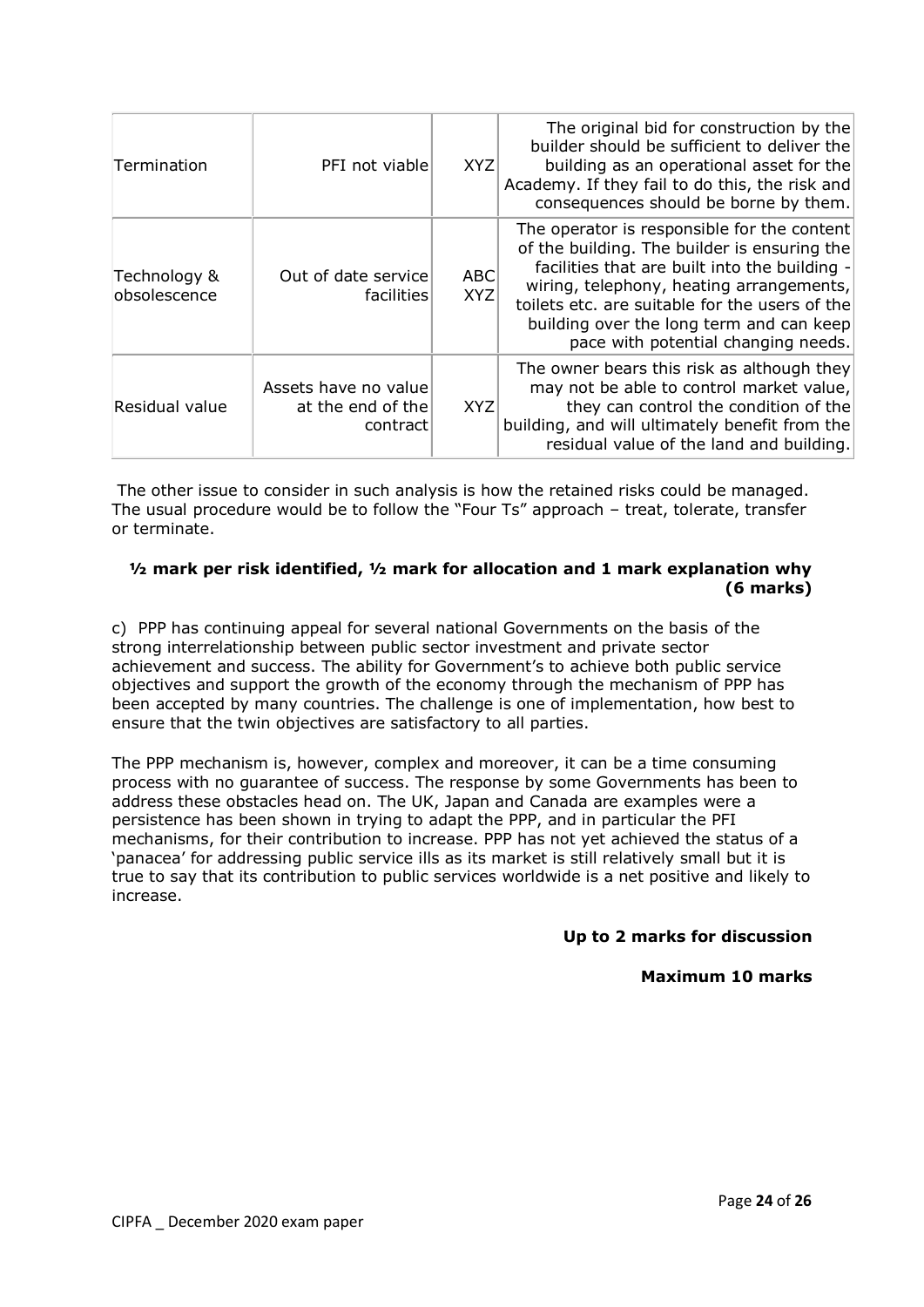| Termination                  | PFI not viable                                        | <b>XYZ</b>               | The original bid for construction by the<br>builder should be sufficient to deliver the<br>building as an operational asset for the<br>Academy. If they fail to do this, the risk and<br>consequences should be borne by them.                                                                                                |
|------------------------------|-------------------------------------------------------|--------------------------|-------------------------------------------------------------------------------------------------------------------------------------------------------------------------------------------------------------------------------------------------------------------------------------------------------------------------------|
| Technology &<br>obsolescence | Out of date service<br>facilities                     | <b>ABC</b><br><b>XYZ</b> | The operator is responsible for the content<br>of the building. The builder is ensuring the<br>facilities that are built into the building -<br>wiring, telephony, heating arrangements,<br>toilets etc. are suitable for the users of the<br>building over the long term and can keep<br>pace with potential changing needs. |
| Residual value               | Assets have no value<br>at the end of the<br>contract | <b>XYZ</b>               | The owner bears this risk as although they<br>may not be able to control market value,<br>they can control the condition of the<br>building, and will ultimately benefit from the<br>residual value of the land and building.                                                                                                 |

The other issue to consider in such analysis is how the retained risks could be managed. The usual procedure would be to follow the "Four Ts" approach – treat, tolerate, transfer or terminate.

## **½ mark per risk identified, ½ mark for allocation and 1 mark explanation why (6 marks)**

c) PPP has continuing appeal for several national Governments on the basis of the strong interrelationship between public sector investment and private sector achievement and success. The ability for Government's to achieve both public service objectives and support the growth of the economy through the mechanism of PPP has been accepted by many countries. The challenge is one of implementation, how best to ensure that the twin objectives are satisfactory to all parties.

The PPP mechanism is, however, complex and moreover, it can be a time consuming process with no guarantee of success. The response by some Governments has been to address these obstacles head on. The UK, Japan and Canada are examples were a persistence has been shown in trying to adapt the PPP, and in particular the PFI mechanisms, for their contribution to increase. PPP has not yet achieved the status of a 'panacea' for addressing public service ills as its market is still relatively small but it is true to say that its contribution to public services worldwide is a net positive and likely to increase.

## **Up to 2 marks for discussion**

#### **Maximum 10 marks**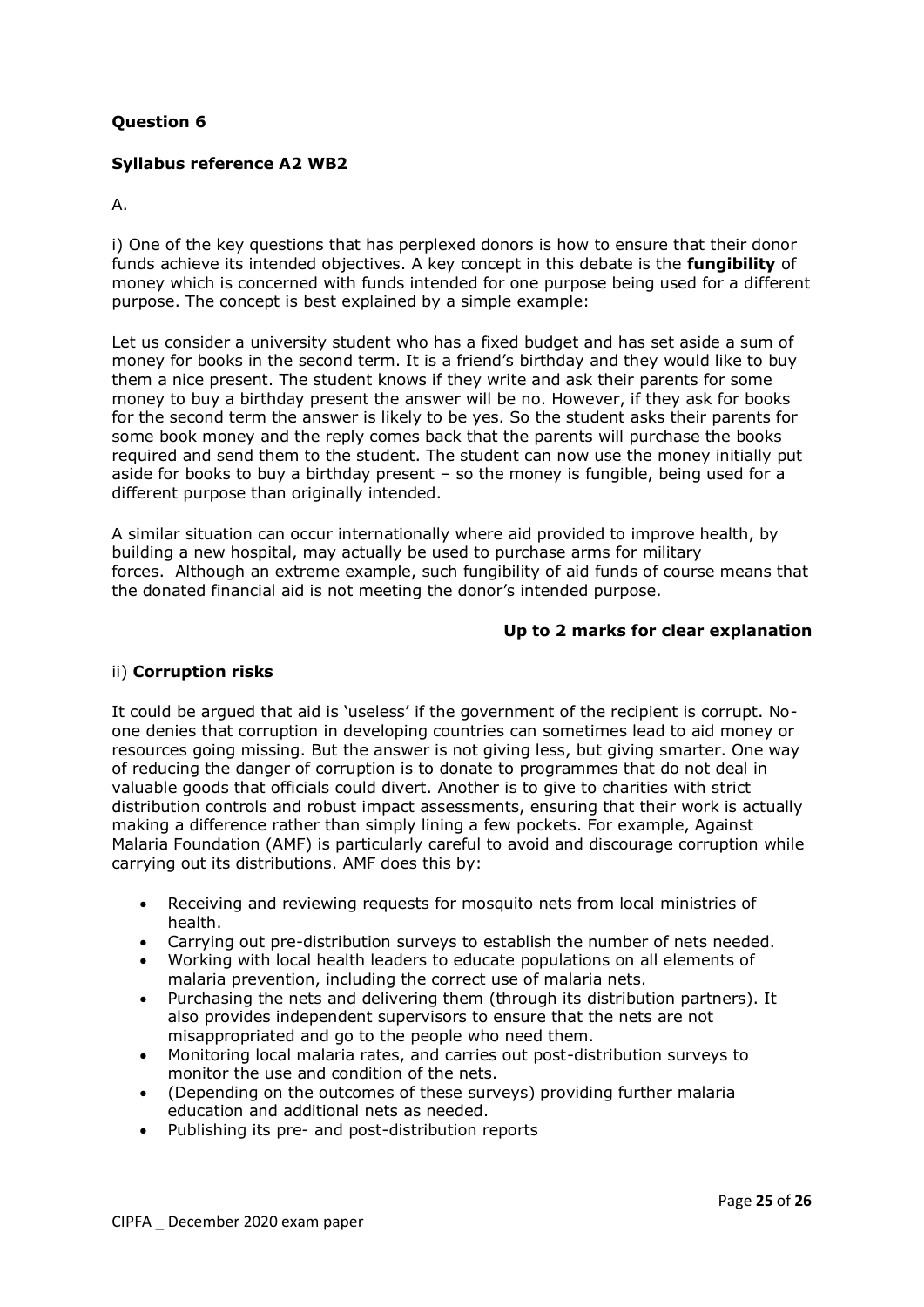## **Syllabus reference A2 WB2**

#### A.

i) One of the key questions that has perplexed donors is how to ensure that their donor funds achieve its intended objectives. A key concept in this debate is the **fungibility** of money which is concerned with funds intended for one purpose being used for a different purpose. The concept is best explained by a simple example:

Let us consider a university student who has a fixed budget and has set aside a sum of money for books in the second term. It is a friend's birthday and they would like to buy them a nice present. The student knows if they write and ask their parents for some money to buy a birthday present the answer will be no. However, if they ask for books for the second term the answer is likely to be yes. So the student asks their parents for some book money and the reply comes back that the parents will purchase the books required and send them to the student. The student can now use the money initially put aside for books to buy a birthday present – so the money is fungible, being used for a different purpose than originally intended.

A similar situation can occur internationally where aid provided to improve health, by building a new hospital, may actually be used to purchase arms for military forces. Although an extreme example, such fungibility of aid funds of course means that the donated financial aid is not meeting the donor's intended purpose.

#### **Up to 2 marks for clear explanation**

#### ii) **Corruption risks**

It could be argued that aid is 'useless' if the government of the recipient is corrupt. Noone denies that corruption in developing countries can sometimes lead to aid money or resources going missing. But the answer is not giving less, but giving smarter. One way of reducing the danger of corruption is to donate to programmes that do not deal in valuable goods that officials could divert. Another is to give to charities with strict distribution controls and robust impact assessments, ensuring that their work is actually making a difference rather than simply lining a few pockets. For example, Against Malaria Foundation (AMF) is particularly careful to avoid and discourage corruption while carrying out its distributions. AMF does this by:

- Receiving and reviewing requests for mosquito nets from local ministries of health.
- Carrying out pre-distribution surveys to establish the number of nets needed.
- Working with local health leaders to educate populations on all elements of malaria prevention, including the correct use of malaria nets.
- Purchasing the nets and delivering them (through its distribution partners). It also provides independent supervisors to ensure that the nets are not misappropriated and go to the people who need them.
- Monitoring local malaria rates, and carries out post-distribution surveys to monitor the use and condition of the nets.
- (Depending on the outcomes of these surveys) providing further malaria education and additional nets as needed.
- Publishing its pre- and post-distribution reports